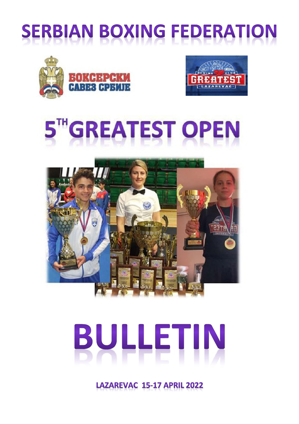# **SERBIAN BOXING FEDERATION**











LAZAREVAC 15-17 APRIL 2022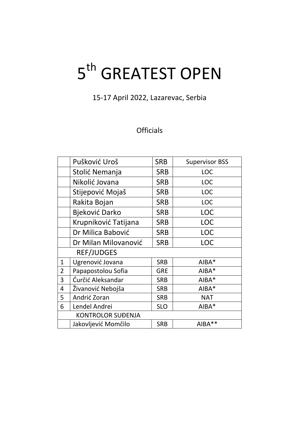# 5<sup>th</sup> GREATEST OPEN

15-17 April 2022, Lazarevac, Serbia

## **Officials**

|                | Pušković Uroš            | <b>SRB</b> | <b>Supervisor BSS</b> |
|----------------|--------------------------|------------|-----------------------|
|                | Stolić Nemanja           | <b>SRB</b> | <b>LOC</b>            |
|                | Nikolić Jovana           | <b>SRB</b> | <b>LOC</b>            |
|                | Stijepović Mojaš         | <b>SRB</b> | <b>LOC</b>            |
|                | Rakita Bojan             | <b>SRB</b> | <b>LOC</b>            |
|                | <b>Bjeković Darko</b>    | <b>SRB</b> | <b>LOC</b>            |
|                | Krupniković Tatijana     | <b>SRB</b> | <b>LOC</b>            |
|                | Dr Milica Babović        | <b>SRB</b> | <b>LOC</b>            |
|                | Dr Milan Milovanović     | <b>SRB</b> | <b>LOC</b>            |
|                | <b>REF/JUDGES</b>        |            |                       |
| $\mathbf{1}$   | Ugrenović Jovana         | <b>SRB</b> | $AIBA*$               |
| $\overline{2}$ | Papapostolou Sofia       | <b>GRE</b> | AIBA*                 |
| 3              | Ćurčić Aleksandar        | <b>SRB</b> | $AIBA*$               |
| 4              | Živanović Nebojša        | <b>SRB</b> | AIBA*                 |
| 5              | Andrić Zoran             | <b>SRB</b> | <b>NAT</b>            |
| 6              | Lendel Andrei            | <b>SLO</b> | $AIBA*$               |
|                | <b>KONTROLOR SUĐENJA</b> |            |                       |
|                | Jakovljević Momčilo      | <b>SRB</b> | AIBA**                |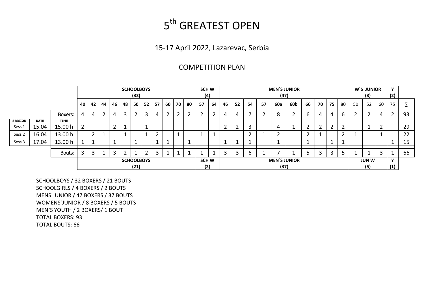# 5<sup>th</sup> GREATEST OPEN

## 15-17 April 2022, Lazarevac, Serbia

## COMPETITION PLAN

|                |             |             |    |                           |    |    |    | (32)                | <b>SCHOOLBOYS</b> |     |        |                |    | <b>SCH W</b><br>(4) |                     |    |    |    |    | (47) | <b>MEN'S JUNIOR</b> |                          |                     |    |    |    | W'S JUNIOR<br>(8) |    | v<br>(2) |    |
|----------------|-------------|-------------|----|---------------------------|----|----|----|---------------------|-------------------|-----|--------|----------------|----|---------------------|---------------------|----|----|----|----|------|---------------------|--------------------------|---------------------|----|----|----|-------------------|----|----------|----|
|                |             |             | 40 | 42                        | 44 | 46 | 48 | 50                  | 52                | -57 | 60     | 70             | 80 | 57                  | 64                  | 46 | 52 | 54 | 57 | 60a  | 60b                 | 66                       | 70                  | 75 | 80 | 50 | 52                | 60 | 75       |    |
|                |             | Boxers:     | 4  | 4                         |    | 4  | 3  |                     | 3                 | 4   | ာ<br>▵ | $\overline{2}$ |    |                     |                     | 4  | 4  |    |    | 8    |                     | b                        | 4                   | 4  | b  |    |                   | 4  | 2        | 93 |
| <b>SESSION</b> | <b>DATE</b> | <b>TIME</b> |    |                           |    |    |    |                     |                   |     |        |                |    |                     |                     |    |    |    |    |      |                     |                          |                     |    |    |    |                   |    |          |    |
| Sess 1         | 15.04       | 15.00 h     | ົາ |                           |    | ∽  |    |                     |                   |     |        |                |    |                     |                     | ົ  | ∽  |    |    |      |                     | $\overline{\phantom{a}}$ |                     |    |    |    |                   |    |          | 29 |
| Sess 2         | 16.04       | 13.00 h     |    | ົ                         |    |    |    |                     |                   | ີ   |        |                |    |                     |                     |    |    | ີ  |    |      |                     | $\overline{\phantom{a}}$ |                     |    |    |    |                   |    |          | 22 |
| Sess 3         | 17.04       | 13.00 h     |    |                           |    | и  |    |                     |                   |     |        |                |    |                     |                     |    |    |    |    |      |                     |                          |                     |    |    |    |                   |    |          | 15 |
|                |             | Bouts:      | 3  | ີ<br>з                    |    | ົ  | ົ  |                     | ຳ                 | 3   | -      | ᆠ              |    |                     |                     | 3  | 3  | 6  |    |      |                     |                          | ົ                   | 3  |    |    | ◢                 |    |          | 66 |
|                |             |             |    | <b>SCHOOLBOYS</b><br>(21) |    |    |    | <b>SCH W</b><br>(2) |                   |     |        |                |    | (37)                | <b>MEN'S JUNIOR</b> |    |    |    |    |      | <b>JUN W</b><br>(5) |                          | $\mathbf{v}$<br>(1) |    |    |    |                   |    |          |    |

SCHOOLBOYS / 32 BOXERS / 21 BOUTS SCHOOLGIRLS / 4 BOXERS / 2 BOUTS MENS`JUNIOR / 47 BOXERS / 37 BOUTS WOMENS`JUNIOR / 8 BOXERS / 5 BOUTS MEN`S YOUTH / 2 BOXERS/ 1 BOUT TOTAL BOXERS: 93 TOTAL BOUTS: 66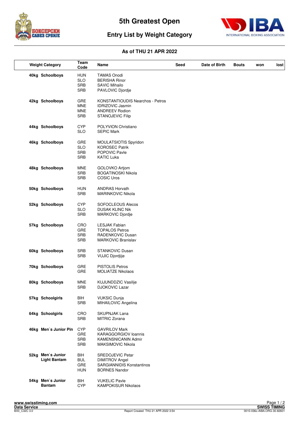



## **Entry List by Weight Category**

| <b>Weight Category</b>                   | Team<br>Code                                         | Name                                                                                                                   | Seed | Date of Birth | <b>Bouts</b> | won | lost |
|------------------------------------------|------------------------------------------------------|------------------------------------------------------------------------------------------------------------------------|------|---------------|--------------|-----|------|
| 40kg Schoolboys                          | HUN<br><b>SLO</b><br><b>SRB</b><br><b>SRB</b>        | <b>TAMAS Onodi</b><br><b>BERISHA Rinor</b><br><b>SAVIC Mihailo</b><br>PAVLOVIC Djordje                                 |      |               |              |     |      |
| 42kg Schoolboys                          | <b>GRE</b><br><b>MNE</b><br><b>MNE</b><br><b>SRB</b> | <b>KONSTANTIOUDIS Nearchos - Petros</b><br><b>IDRIZOVIC Jasmin</b><br><b>ANDREEV Rodion</b><br><b>STANOJEVIC Filip</b> |      |               |              |     |      |
| 44kg Schoolboys                          | <b>CYP</b><br><b>SLO</b>                             | POLYVION Christiano<br><b>SEPIC Mark</b>                                                                               |      |               |              |     |      |
| 46kg Schoolboys                          | GRE<br><b>SLO</b><br><b>SRB</b><br><b>SRB</b>        | MOULATSIOTIS Spyridon<br><b>KOROSEC Patrik</b><br>POPOVIC Pavle<br><b>KATIC Luka</b>                                   |      |               |              |     |      |
| 48kg Schoolboys                          | MNE<br>SRB<br>SRB                                    | GOLOVKO Artjom<br><b>BOGATINOSKI Nikola</b><br><b>COSIC Uros</b>                                                       |      |               |              |     |      |
| 50kg Schoolboys                          | <b>HUN</b><br><b>SRB</b>                             | <b>ANDRAS Horvath</b><br>MARINKOVIC Nikola                                                                             |      |               |              |     |      |
| 52kg Schoolboys                          | <b>CYP</b><br><b>SLO</b><br><b>SRB</b>               | <b>SOFOCLEOUS Alecos</b><br><b>DUSAK KLINC Nik</b><br>MARKOVIC Djordje                                                 |      |               |              |     |      |
| 57kg Schoolboys                          | CRO<br><b>GRE</b><br>SRB<br>SRB                      | <b>LESJAK Fabian</b><br><b>TOPALOS Petros</b><br>RADENKOVIC Dusan<br>MARKOVIC Branislav                                |      |               |              |     |      |
| 60kg Schoolboys                          | <b>SRB</b><br><b>SRB</b>                             | <b>STANKOVIC Dusan</b><br><b>VUJIC Djordjije</b>                                                                       |      |               |              |     |      |
| 70kg Schoolboys                          | GRE<br><b>GRE</b>                                    | <b>PISTOLIS Petros</b><br><b>MOLIATZE Nikolaos</b>                                                                     |      |               |              |     |      |
| 80kg Schoolboys                          | MNE<br>SRB                                           | KUJUNDDZIC Vasilije<br>DJOKOVIC Lazar                                                                                  |      |               |              |     |      |
| 57kg Schoolgirls                         | <b>BIH</b><br>SRB                                    | <b>VUKSIC Dunja</b><br>MIHAILOVIC Angelina                                                                             |      |               |              |     |      |
| 64kg Schoolgirls                         | CRO<br>SRB                                           | SKUPNJAK Lana<br>MITRIC Zorana                                                                                         |      |               |              |     |      |
| 46kg Men's Junior Pin                    | <b>CYP</b><br><b>GRE</b><br>SRB<br><b>SRB</b>        | <b>GAVRILOV Mark</b><br>KARAGGORGIOV Ioannis<br><b>KAMENSNICANIN Admir</b><br>MAKSIMOVIC Nikola                        |      |               |              |     |      |
| 52kg Men's Junior<br><b>Light Bantam</b> | BIH<br><b>BUL</b><br>GRE<br><b>HUN</b>               | SREDOJEVIC Petar<br><b>DIMITROV Angel</b><br><b>SARGIANNIDIS Konstantinos</b><br><b>BORNES Nandor</b>                  |      |               |              |     |      |
| 54kg Men's Junior<br><b>Bantam</b>       | BIH<br><b>CYP</b>                                    | <b>VUKELIC Pavle</b><br><b>KAMPOKISUR Nikolaos</b>                                                                     |      |               |              |     |      |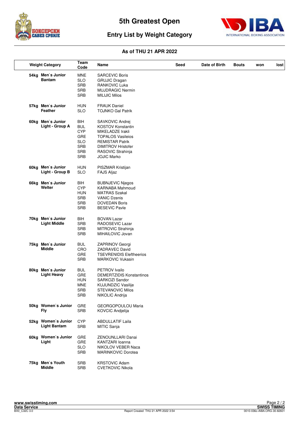



## **Entry List by Weight Category**

| <b>Weight Category</b>                     | Team<br>Code                                                                                   | Name                                                                                                                                                                                          | Seed | Date of Birth | <b>Bouts</b> | won | lost |
|--------------------------------------------|------------------------------------------------------------------------------------------------|-----------------------------------------------------------------------------------------------------------------------------------------------------------------------------------------------|------|---------------|--------------|-----|------|
| 54kg Men's Junior<br><b>Bantam</b>         | <b>MNE</b><br><b>SLO</b><br><b>SRB</b><br><b>SRB</b><br><b>SRB</b>                             | <b>SARCEVIC Boris</b><br><b>GRUJIC Dragan</b><br>RANKOVIC Luka<br><b>MUJDRAGIC Nermin</b><br><b>MILIJIC Milos</b>                                                                             |      |               |              |     |      |
| 57kg Men's Junior<br>Feather               | <b>HUN</b><br><b>SLO</b>                                                                       | <b>FRAUK Daniel</b><br><b>TOJNKO Gal Patrik</b>                                                                                                                                               |      |               |              |     |      |
| 60kg Men's Junior<br>Light - Group A       | BIH<br><b>BUL</b><br><b>CYP</b><br><b>GRE</b><br><b>SLO</b><br>SRB<br><b>SRB</b><br><b>SRB</b> | SAVKOVIC Andrej<br><b>KOSTOV Konstantin</b><br>MIKELADZE Irakli<br><b>TOPALOS Vasileios</b><br><b>REMISTAR Patrik</b><br><b>DIMITROV Hristofer</b><br>RASOVIC Strahinja<br><b>JOJIC Marko</b> |      |               |              |     |      |
| 60kg Men's Junior<br>Light - Group B       | <b>HUN</b><br><b>SLO</b>                                                                       | PISZMAR Kristijan<br>FAJS Aljaz                                                                                                                                                               |      |               |              |     |      |
| 66kg Men's Junior<br>Welter                | BIH<br><b>CYP</b><br><b>HUN</b><br><b>SRB</b><br><b>SRB</b><br><b>SRB</b>                      | <b>BUBNJEVIC Njegos</b><br><b>KARNABA Mahmoud</b><br><b>MATRAS Szakal</b><br><b>VANIC Dzenis</b><br><b>DOVEDAN Boris</b><br><b>BESEVIC Pavle</b>                                              |      |               |              |     |      |
| 70kg Men's Junior<br><b>Light Middle</b>   | BIH<br><b>SRB</b><br><b>SRB</b><br><b>SRB</b>                                                  | <b>BOVAN Lazar</b><br>RADOSEVIC Lazar<br>MITROVIC Strahinja<br>MIHAILOVIC Jovan                                                                                                               |      |               |              |     |      |
| 75kg Men's Junior<br><b>Middle</b>         | <b>BUL</b><br>CRO<br><b>GRE</b><br><b>SRB</b>                                                  | ZAPRINOV Georgi<br><b>ZADRAVEC David</b><br><b>TSEVRENIDIS Eleftheerios</b><br><b>MARKOVIC Vukasin</b>                                                                                        |      |               |              |     |      |
| 80kg Men's Junior<br><b>Light Heavy</b>    | <b>BUL</b><br><b>GRE</b><br><b>HUN</b><br><b>MNE</b><br><b>SRB</b><br><b>SRB</b>               | PETROV Ivailo<br><b>DEMERTZIDIS Konstantinos</b><br>SARKOZI Sandor<br>KUJUNDZIC Vasilije<br><b>STEVANOVIC Milos</b><br>NIKOLIC Andrija                                                        |      |               |              |     |      |
| 50kg Women's Junior<br>Fly                 | <b>GRE</b><br><b>SRB</b>                                                                       | GEORGOPOULOU Maria<br>KOVCIC Andjelija                                                                                                                                                        |      |               |              |     |      |
| 52kg Women's Junior<br><b>Light Bantam</b> | <b>CYP</b><br><b>SRB</b>                                                                       | <b>ABDULLATIF Laila</b><br>MITIC Sanja                                                                                                                                                        |      |               |              |     |      |
| 60kg Women's Junior<br>Light               | GRE<br>GRE<br><b>SLO</b><br><b>SRB</b>                                                         | ZENOUNLLARI Danai<br>KANTZARI loanna<br>NIKOLOV VEBER Naca<br><b>MARINKOVIC Dorotea</b>                                                                                                       |      |               |              |     |      |
| 75kg Men's Youth<br><b>Middle</b>          | SRB<br><b>SRB</b>                                                                              | <b>KRSTOVIC Adam</b><br><b>CVETKOVIC Nikola</b>                                                                                                                                               |      |               |              |     |      |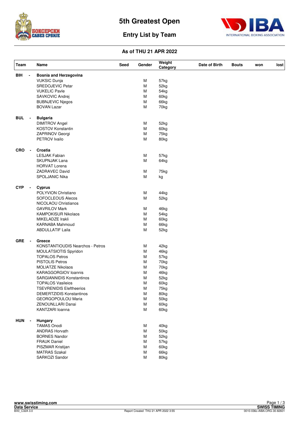



## **Entry List by Team**

| Team                         | Name                                    | Seed | Gender | Weight<br>Category | Date of Birth | <b>Bouts</b> | won | lost |
|------------------------------|-----------------------------------------|------|--------|--------------------|---------------|--------------|-----|------|
| <b>BIH</b>                   | <b>Bosnia and Herzegovina</b>           |      |        |                    |               |              |     |      |
|                              | <b>VUKSIC Dunja</b>                     |      | м      | 57kg               |               |              |     |      |
|                              | SREDOJEVIC Petar                        |      | M      | 52kg               |               |              |     |      |
|                              | <b>VUKELIC Pavle</b>                    |      | M      | 54 <sub>kg</sub>   |               |              |     |      |
|                              | SAVKOVIC Andrej                         |      | M      | 60kg               |               |              |     |      |
|                              | <b>BUBNJEVIC Njegos</b>                 |      | M      | 66kg               |               |              |     |      |
|                              | <b>BOVAN Lazar</b>                      |      | M      | 70kg               |               |              |     |      |
| <b>BUL</b><br>$\blacksquare$ | <b>Bulgaria</b>                         |      |        |                    |               |              |     |      |
|                              | <b>DIMITROV Angel</b>                   |      | M      | 52kg               |               |              |     |      |
|                              | KOSTOV Konstantin                       |      | M      | 60kg               |               |              |     |      |
|                              | ZAPRINOV Georgi                         |      | M      | 75kg               |               |              |     |      |
|                              | PETROV Ivailo                           |      | M      |                    |               |              |     |      |
|                              |                                         |      |        | 80kg               |               |              |     |      |
| <b>CRO</b><br>$\blacksquare$ | Croatia                                 |      |        |                    |               |              |     |      |
|                              | <b>LESJAK Fabian</b>                    |      | M      | 57kg               |               |              |     |      |
|                              | <b>SKUPNJAK Lana</b>                    |      | M      | 64kg               |               |              |     |      |
|                              | <b>HORVAT Lorena</b>                    |      |        |                    |               |              |     |      |
|                              | <b>ZADRAVEC David</b>                   |      | M      | 75kg               |               |              |     |      |
|                              | SPOLJANIC Nika                          |      | M      | kg                 |               |              |     |      |
| <b>CYP</b><br>$\blacksquare$ | <b>Cyprus</b>                           |      |        |                    |               |              |     |      |
|                              | POLYVION Christiano                     |      | M      | 44kg               |               |              |     |      |
|                              | <b>SOFOCLEOUS Alecos</b>                |      | M      | 52kg               |               |              |     |      |
|                              | NICOLAOU Christianos                    |      |        |                    |               |              |     |      |
|                              | <b>GAVRILOV Mark</b>                    |      | M      | 46kg               |               |              |     |      |
|                              | <b>KAMPOKISUR Nikolaos</b>              |      | M      | 54kg               |               |              |     |      |
|                              | MIKELADZE Irakli                        |      | M      | 60kg               |               |              |     |      |
|                              | KARNABA Mahmoud                         |      | M      | 66kg               |               |              |     |      |
|                              | <b>ABDULLATIF Laila</b>                 |      | M      | 52kg               |               |              |     |      |
| <b>GRE</b><br>$\blacksquare$ | Greece                                  |      |        |                    |               |              |     |      |
|                              | <b>KONSTANTIOUDIS Nearchos - Petros</b> |      | M      | 42kg               |               |              |     |      |
|                              | MOULATSIOTIS Spyridon                   |      | M      | 46kg               |               |              |     |      |
|                              | <b>TOPALOS Petros</b>                   |      | M      | 57kg               |               |              |     |      |
|                              | <b>PISTOLIS Petros</b>                  |      | M      | 70kg               |               |              |     |      |
|                              | <b>MOLIATZE Nikolaos</b>                |      | M      | 70kg               |               |              |     |      |
|                              | <b>KARAGGORGIOV loannis</b>             |      | M      | 46kg               |               |              |     |      |
|                              | <b>SARGIANNIDIS Konstantinos</b>        |      | M      | 52kg               |               |              |     |      |
|                              | <b>TOPALOS Vasileios</b>                |      | M      | 60kg               |               |              |     |      |
|                              | <b>TSEVRENIDIS Eleftheerios</b>         |      | M      | 75kg               |               |              |     |      |
|                              | <b>DEMERTZIDIS Konstantinos</b>         |      | M      | 80kg               |               |              |     |      |
|                              |                                         |      |        |                    |               |              |     |      |
|                              | GEORGOPOULOU Maria                      |      | M      | 50kg               |               |              |     |      |
|                              | ZENOUNLLARI Danai<br>KANTZARI loanna    |      | M<br>M | 60kg<br>60kg       |               |              |     |      |
|                              |                                         |      |        |                    |               |              |     |      |
| <b>HUN</b><br>$\blacksquare$ | Hungary<br><b>TAMAS Onodi</b>           |      | M      | 40kg               |               |              |     |      |
|                              | <b>ANDRAS Horvath</b>                   |      | M      | 50kg               |               |              |     |      |
|                              | <b>BORNES Nandor</b>                    |      |        | 52kg               |               |              |     |      |
|                              | <b>FRAUK Daniel</b>                     |      | M<br>M |                    |               |              |     |      |
|                              |                                         |      |        | 57kg               |               |              |     |      |
|                              | PISZMAR Kristijan                       |      | M      | 60kg               |               |              |     |      |
|                              | <b>MATRAS Szakal</b>                    |      | M      | 66kg               |               |              |     |      |
|                              | SARKOZI Sandor                          |      | M      | 80kg               |               |              |     |      |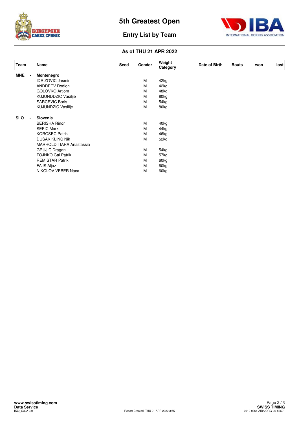



## **Entry List by Team**

| Team       | Name                            | Seed | Gender | Weight<br>Category | Date of Birth | <b>Bouts</b> | won | lost |
|------------|---------------------------------|------|--------|--------------------|---------------|--------------|-----|------|
| <b>MNE</b> | Montenegro                      |      |        |                    |               |              |     |      |
|            | <b>IDRIZOVIC Jasmin</b>         |      | м      | 42kg               |               |              |     |      |
|            | <b>ANDREEV Rodion</b>           |      | M      | 42kg               |               |              |     |      |
|            | <b>GOLOVKO Artiom</b>           |      | м      | 48kg               |               |              |     |      |
|            | <b>KUJUNDDZIC Vasilije</b>      |      | м      | 80kg               |               |              |     |      |
|            | <b>SARCEVIC Boris</b>           |      | M      | 54kg               |               |              |     |      |
|            | <b>KUJUNDZIC Vasilije</b>       |      | M      | 80kg               |               |              |     |      |
| <b>SLO</b> | Slovenia                        |      |        |                    |               |              |     |      |
|            | <b>BERISHA Rinor</b>            |      | М      | 40kg               |               |              |     |      |
|            | <b>SEPIC Mark</b>               |      | М      | 44kg               |               |              |     |      |
|            | <b>KOROSEC Patrik</b>           |      | м      | 46kg               |               |              |     |      |
|            | <b>DUSAK KLINC Nik</b>          |      | M      | 52kg               |               |              |     |      |
|            | <b>MARHOLD TIARA Anastassia</b> |      |        |                    |               |              |     |      |
|            | <b>GRUJIC Dragan</b>            |      | М      | 54kg               |               |              |     |      |
|            | <b>TOJNKO Gal Patrik</b>        |      | м      | 57kg               |               |              |     |      |
|            | <b>REMISTAR Patrik</b>          |      | M      | 60kg               |               |              |     |      |
|            | <b>FAJS Aljaz</b>               |      | M      | 60kg               |               |              |     |      |
|            | NIKOLOV VEBER Naca              |      | M      | 60 <sub>kg</sub>   |               |              |     |      |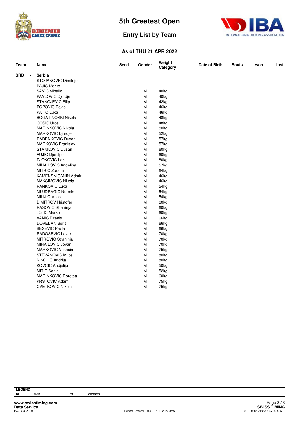



## **Entry List by Team**

| Team       | Name                       | <b>Seed</b> | Gender | Weight<br>Category | Date of Birth | <b>Bouts</b> | won | lost |
|------------|----------------------------|-------------|--------|--------------------|---------------|--------------|-----|------|
| <b>SRB</b> | Serbia                     |             |        |                    |               |              |     |      |
|            | STOJANOVIC Dimitrije       |             |        |                    |               |              |     |      |
|            | <b>PAJIC Marko</b>         |             |        |                    |               |              |     |      |
|            | <b>SAVIC Mihailo</b>       |             | М      | 40kg               |               |              |     |      |
|            | PAVLOVIC Djordje           |             | M      | 40kg               |               |              |     |      |
|            | <b>STANOJEVIC Filip</b>    |             | M      | 42kg               |               |              |     |      |
|            | POPOVIC Pavle              |             | М      | 46kg               |               |              |     |      |
|            | <b>KATIC Luka</b>          |             | M      | 46kg               |               |              |     |      |
|            | <b>BOGATINOSKI Nikola</b>  |             | M      | 48kg               |               |              |     |      |
|            | <b>COSIC Uros</b>          |             | M      | 48kg               |               |              |     |      |
|            | MARINKOVIC Nikola          |             | M      | 50kg               |               |              |     |      |
|            | MARKOVIC Djordje           |             | M      | 52kg               |               |              |     |      |
|            | RADENKOVIC Dusan           |             | M      | 57kg               |               |              |     |      |
|            | <b>MARKOVIC Branislav</b>  |             | M      | 57kg               |               |              |     |      |
|            | <b>STANKOVIC Dusan</b>     |             | M      | 60kg               |               |              |     |      |
|            | <b>VUJIC Djordjije</b>     |             | M      | 60 <sub>kg</sub>   |               |              |     |      |
|            | <b>DJOKOVIC Lazar</b>      |             | M      | 80kg               |               |              |     |      |
|            | MIHAILOVIC Angelina        |             | M      | 57kg               |               |              |     |      |
|            | MITRIC Zorana              |             | M      | 64kg               |               |              |     |      |
|            | <b>KAMENSNICANIN Admir</b> |             | M      | 46kg               |               |              |     |      |
|            | MAKSIMOVIC Nikola          |             | M      | 46kg               |               |              |     |      |
|            | <b>RANKOVIC Luka</b>       |             | M      | 54 <sub>kg</sub>   |               |              |     |      |
|            | <b>MUJDRAGIC Nermin</b>    |             | M      | 54 <sub>kg</sub>   |               |              |     |      |
|            | <b>MILIJIC Milos</b>       |             | M      | 54kg               |               |              |     |      |
|            | <b>DIMITROV Hristofer</b>  |             | M      | 60kg               |               |              |     |      |
|            | RASOVIC Strahinja          |             | M      | 60kg               |               |              |     |      |
|            | <b>JOJIC Marko</b>         |             | M      | 60kg               |               |              |     |      |
|            | <b>VANIC Dzenis</b>        |             | M      | 66kg               |               |              |     |      |
|            | <b>DOVEDAN Boris</b>       |             | M      | 66kg               |               |              |     |      |
|            | <b>BESEVIC Pavle</b>       |             | M      | 66kg               |               |              |     |      |
|            | RADOSEVIC Lazar            |             | M      | 70kg               |               |              |     |      |
|            | MITROVIC Strahinja         |             | M      | 70kg               |               |              |     |      |
|            | MIHAILOVIC Jovan           |             | M      | 70kg               |               |              |     |      |
|            | <b>MARKOVIC Vukasin</b>    |             | M      | 75kg               |               |              |     |      |
|            | <b>STEVANOVIC Milos</b>    |             | M      | 80kg               |               |              |     |      |
|            | NIKOLIC Andrija            |             | M      | 80kg               |               |              |     |      |
|            | KOVCIC Andjelija           |             | M      | 50 <sub>kg</sub>   |               |              |     |      |
|            | MITIC Sanja                |             | M      | 52kg               |               |              |     |      |
|            | MARINKOVIC Dorotea         |             | M      | 60kg               |               |              |     |      |
|            | <b>KRSTOVIC Adam</b>       |             | M      | 75kg               |               |              |     |      |
|            | <b>CVETKOVIC Nikola</b>    |             | M      | 75kg               |               |              |     |      |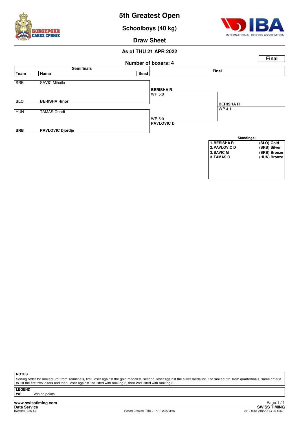

**Schoolboys (40 kg)**



**Draw Sheet**

#### **As of THU 21 APR 2022**



**NOTES**

Sorting order for ranked 3rd: from semifinals, first, loser against the gold medallist, second, loser against the silver medallist. For ranked 5th: from quarterfinals, same criteria to list the first two losers and then, loser against 1st listed with ranking 3, then 2nd listed with ranking 3.

**LEGEND**

**Win on points** 

**www.swisstiming.com Data Service SWISS TIMING**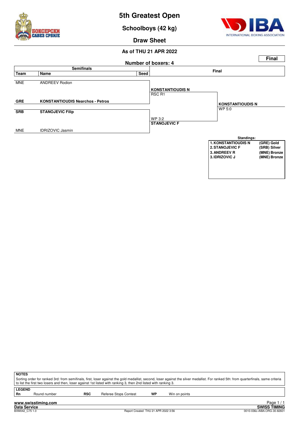

**Schoolboys (42 kg)**



**Draw Sheet**

#### **As of THU 21 APR 2022**



| <b>NOTES</b>  |                                                                                                                                                                                       |            |                       |           |               |  |  |  |  |
|---------------|---------------------------------------------------------------------------------------------------------------------------------------------------------------------------------------|------------|-----------------------|-----------|---------------|--|--|--|--|
|               | Sorting order for ranked 3rd: from semifinals, first, loser against the gold medallist, second, loser against the silver medallist. For ranked 5th: from quarterfinals, same criteria |            |                       |           |               |  |  |  |  |
|               | to list the first two losers and then, loser against 1st listed with ranking 3, then 2nd listed with ranking 3.                                                                       |            |                       |           |               |  |  |  |  |
|               |                                                                                                                                                                                       |            |                       |           |               |  |  |  |  |
| <b>LEGEND</b> |                                                                                                                                                                                       |            |                       |           |               |  |  |  |  |
| -Rn           | Round number                                                                                                                                                                          | <b>RSC</b> | Referee Stops Contest | <b>WP</b> | Win on points |  |  |  |  |

**Data Service SWISS TIMING** 1 / 1 Eager<br>SWISS TIMING<br>0010-036c-AIBA.ORG-30-82601 0010-036c-AIBA.ORG-30-82601 0010-036c-AIBA.ORG-30-82601 Page 1 / 1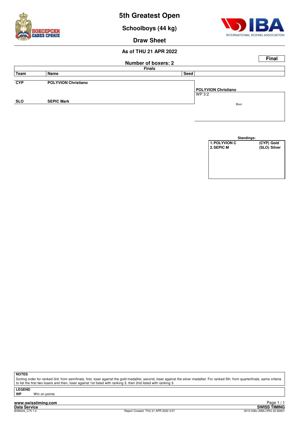



Sorting order for ranked 3rd: from semifinals, first, loser against the gold medallist, second, loser against the silver medallist. For ranked 5th: from quarterfinals, same criteria to list the first two losers and then, loser against 1st listed with ranking 3, then 2nd listed with ranking 3.

**LEGEND**

**Win on points** 

**www.swisstiming.com**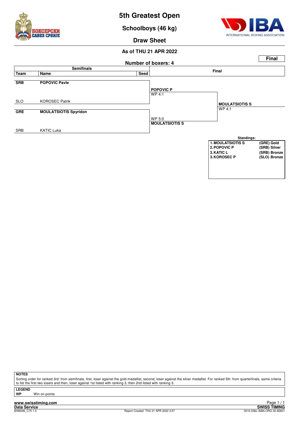

**Schoolboys (46 kg)**



**Draw Sheet**

#### **As of THU 21 APR 2022**



**NOTES**

Sorting order for ranked 3rd: from semifinals, first, loser against the gold medallist, second, loser against the silver medallist. For ranked 5th: from quarterfinals, same criteria to list the first two losers and then, loser against 1st listed with ranking 3, then 2nd listed with ranking 3.

**LEGEND**

**Win on points**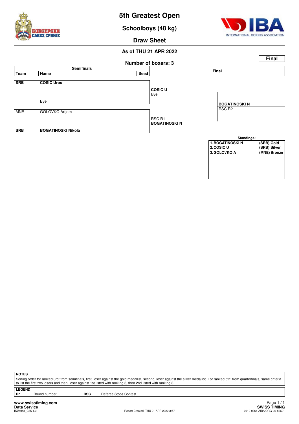

**Schoolboys (48 kg)**



**Draw Sheet**

#### **As of THU 21 APR 2022**



**NOTES**

Sorting order for ranked 3rd: from semifinals, first, loser against the gold medallist, second, loser against the silver medallist. For ranked 5th: from quarterfinals, same criteria to list the first two losers and then, loser against 1st listed with ranking 3, then 2nd listed with ranking 3.

**LEGEND**<br>Rn

Round number **RSC** Referee Stops Contest

**www.swisstiming.com Data Service SWISS TIMING**

1 / 1 Edge 1<br>SWISS TIMING<br>0010-036c-AIBA.ORG-30-82601 0010-036c-AIBA.ORG-30-82601 0010-036c-AIBA.ORG-30-82601 Page 1 / 1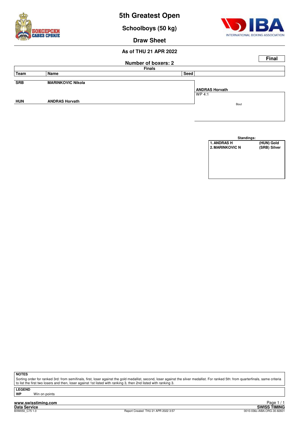

| Standings:             |              |  |  |  |  |  |  |  |
|------------------------|--------------|--|--|--|--|--|--|--|
| <b>1. ANDRAS H</b>     | (HUN) Gold   |  |  |  |  |  |  |  |
| <b>2. MARINKOVIC N</b> | (SRB) Silver |  |  |  |  |  |  |  |
|                        |              |  |  |  |  |  |  |  |
|                        |              |  |  |  |  |  |  |  |
|                        |              |  |  |  |  |  |  |  |
|                        |              |  |  |  |  |  |  |  |
|                        |              |  |  |  |  |  |  |  |
|                        |              |  |  |  |  |  |  |  |

Sorting order for ranked 3rd: from semifinals, first, loser against the gold medallist, second, loser against the silver medallist. For ranked 5th: from quarterfinals, same criteria to list the first two losers and then, loser against 1st listed with ranking 3, then 2nd listed with ranking 3.

**LEGEND**

**Win on points** 

**www.swisstiming.com Data Service SWISS TIMING**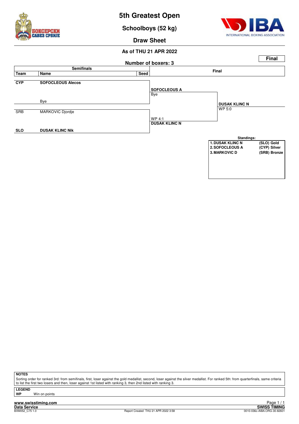

**Schoolboys (52 kg)**



**Draw Sheet**

#### **As of THU 21 APR 2022**



**NOTES**

Sorting order for ranked 3rd: from semifinals, first, loser against the gold medallist, second, loser against the silver medallist. For ranked 5th: from quarterfinals, same criteria to list the first two losers and then, loser against 1st listed with ranking 3, then 2nd listed with ranking 3.

**LEGEND**

**Win on points**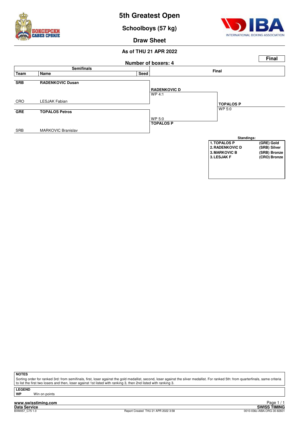

**Schoolboys (57 kg)**



**Draw Sheet**

#### **As of THU 21 APR 2022**



#### **NOTES**

Sorting order for ranked 3rd: from semifinals, first, loser against the gold medallist, second, loser against the silver medallist. For ranked 5th: from quarterfinals, same criteria to list the first two losers and then, loser against 1st listed with ranking 3, then 2nd listed with ranking 3.

**LEGEND**

**Win on points**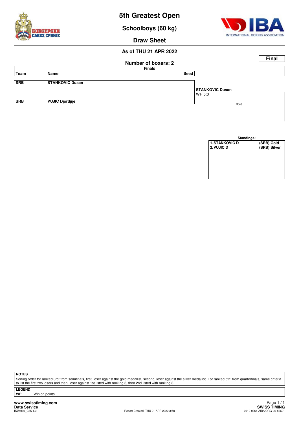

| Standings:            |              |
|-----------------------|--------------|
| <b>1. STANKOVIC D</b> | (SRB) Gold   |
| 2. VUJIC D            | (SRB) Silver |
|                       |              |
|                       |              |
|                       |              |
|                       |              |
|                       |              |
|                       |              |

Sorting order for ranked 3rd: from semifinals, first, loser against the gold medallist, second, loser against the silver medallist. For ranked 5th: from quarterfinals, same criteria to list the first two losers and then, loser against 1st listed with ranking 3, then 2nd listed with ranking 3.

**LEGEND**

**Win on points** 

**www.swisstiming.com Data Service SWISS TIMING**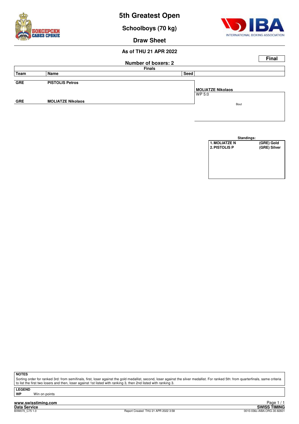

| Standings:           |              |
|----------------------|--------------|
| <b>1. MOLIATZE N</b> | (GRE) Gold   |
| <b>2. PISTOLIS P</b> | (GRE) Silver |
|                      |              |
|                      |              |
|                      |              |
|                      |              |
|                      |              |
|                      |              |

Sorting order for ranked 3rd: from semifinals, first, loser against the gold medallist, second, loser against the silver medallist. For ranked 5th: from quarterfinals, same criteria to list the first two losers and then, loser against 1st listed with ranking 3, then 2nd listed with ranking 3.

**LEGEND Win on points** 

**www.swisstiming.com**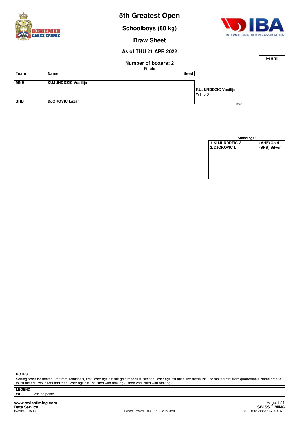

| <b>Standings:</b>      |              |
|------------------------|--------------|
| <b>1. KUJUNDDZIC V</b> | (MNE) Gold   |
| 2. DJOKOVIC L          | (SRB) Silver |
|                        |              |
|                        |              |
|                        |              |
|                        |              |
|                        |              |
|                        |              |

Sorting order for ranked 3rd: from semifinals, first, loser against the gold medallist, second, loser against the silver medallist. For ranked 5th: from quarterfinals, same criteria to list the first two losers and then, loser against 1st listed with ranking 3, then 2nd listed with ranking 3.

**LEGEND**

**Win on points** 

**www.swisstiming.com**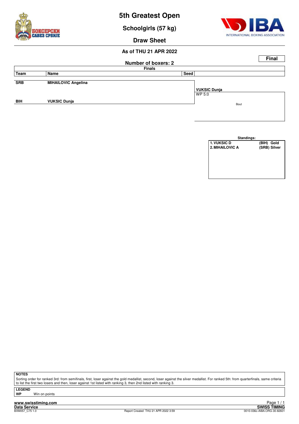

**Schoolgirls (57 kg)**



**Draw Sheet**

#### **As of THU 21 APR 2022**

|            |                            |                            |              | <b>Final</b> |
|------------|----------------------------|----------------------------|--------------|--------------|
|            |                            | <b>Number of boxers: 2</b> |              |              |
|            |                            | <b>Finals</b>              |              |              |
| Team       | Name                       | Seed                       |              |              |
|            |                            |                            |              |              |
| <b>SRB</b> | <b>MIHAILOVIC Angelina</b> |                            |              |              |
|            |                            |                            | VUKSIC Dunja |              |
|            |                            |                            | WP 5:0       |              |
| <b>BIH</b> | <b>VUKSIC Dunja</b>        |                            | Bout         |              |
|            |                            |                            |              |              |
|            |                            |                            |              |              |

| Standings:         |              |
|--------------------|--------------|
| <b>1. VUKSIC D</b> | (BIH) Gold   |
| 2. MIHAILOVIC A    | (SRB) Silver |
|                    |              |
|                    |              |
|                    |              |
|                    |              |
|                    |              |
|                    |              |

**NOTES**

Sorting order for ranked 3rd: from semifinals, first, loser against the gold medallist, second, loser against the silver medallist. For ranked 5th: from quarterfinals, same criteria to list the first two losers and then, loser against 1st listed with ranking 3, then 2nd listed with ranking 3.

**LEGEND**

**Win on points** 

**www.swisstiming.com Data Service SWISS TIMING**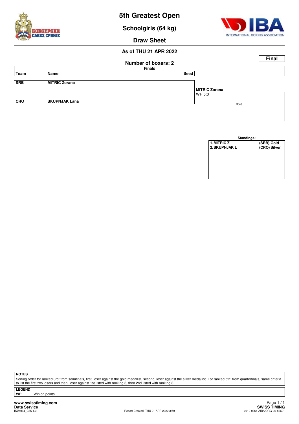

| Standings:           |              |
|----------------------|--------------|
| 1. MITRIC Z          | (SRB) Gold   |
| <b>2. SKUPNJAK L</b> | (CRO) Silver |
|                      |              |
|                      |              |
|                      |              |
|                      |              |
|                      |              |
|                      |              |

Sorting order for ranked 3rd: from semifinals, first, loser against the gold medallist, second, loser against the silver medallist. For ranked 5th: from quarterfinals, same criteria to list the first two losers and then, loser against 1st listed with ranking 3, then 2nd listed with ranking 3.

**LEGEND**

**Win on points** 

**www.swisstiming.com**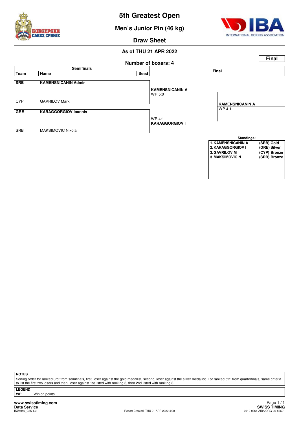

**Men`s Junior Pin (46 kg)**



**Draw Sheet**

#### **As of THU 21 APR 2022**



**NOTES**

Sorting order for ranked 3rd: from semifinals, first, loser against the gold medallist, second, loser against the silver medallist. For ranked 5th: from quarterfinals, same criteria to list the first two losers and then, loser against 1st listed with ranking 3, then 2nd listed with ranking 3.

**LEGEND**

**Win on points** 

**www.swisstiming.com Data Service SWISS TIMING**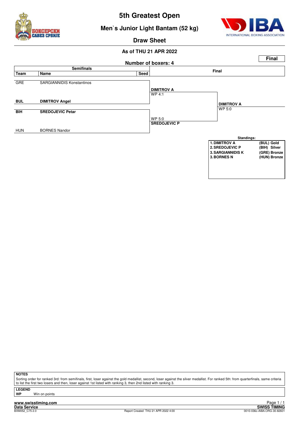



#### **Men`s Junior Light Bantam (52 kg)**

**Draw Sheet**

#### **As of THU 21 APR 2022**



**NOTES**

Sorting order for ranked 3rd: from semifinals, first, loser against the gold medallist, second, loser against the silver medallist. For ranked 5th: from quarterfinals, same criteria to list the first two losers and then, loser against 1st listed with ranking 3, then 2nd listed with ranking 3.

**LEGEND**

**Win on points**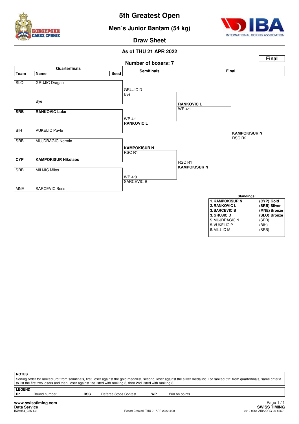





**Draw Sheet**



| <b>NOTES</b>        |                     |            | to list the first two losers and then, loser against 1st listed with ranking 3, then 2nd listed with ranking 3. |    |               | Sorting order for ranked 3rd: from semifinals, first, loser against the gold medallist, second, loser against the silver medallist. For ranked 5th: from quarterfinals, same criteria |
|---------------------|---------------------|------------|-----------------------------------------------------------------------------------------------------------------|----|---------------|---------------------------------------------------------------------------------------------------------------------------------------------------------------------------------------|
| <b>LEGEND</b><br>Rn | Round number        | <b>RSC</b> | Referee Stops Contest                                                                                           | WP | Win on points |                                                                                                                                                                                       |
|                     | www.swisstiming.com |            |                                                                                                                 |    |               | Page                                                                                                                                                                                  |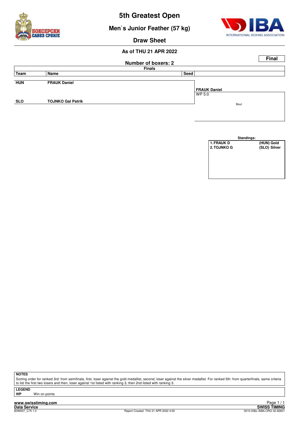



**Men`s Junior Feather (57 kg)**

**Draw Sheet**

#### **As of THU 21 APR 2022**



|                   | Standings: |              |
|-------------------|------------|--------------|
| <b>1. FRAUK D</b> |            | (HUN) Gold   |
| 2. TOJNKO G       |            | (SLO) Silver |
|                   |            |              |
|                   |            |              |
|                   |            |              |
|                   |            |              |
|                   |            |              |
|                   |            |              |

**NOTES**

Sorting order for ranked 3rd: from semifinals, first, loser against the gold medallist, second, loser against the silver medallist. For ranked 5th: from quarterfinals, same criteria to list the first two losers and then, loser against 1st listed with ranking 3, then 2nd listed with ranking 3.

**LEGEND**

**Win on points** 

**www.swisstiming.com**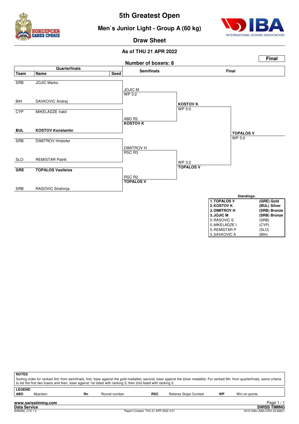



**Men`s Junior Light - Group A (60 kg)**

**Draw Sheet**



| <b>3. DIMITROV H</b> | (SRB) Bronze |
|----------------------|--------------|
| 3. JOJIC M           | (SRB) Bronze |
| 5. RASOVIC S         | (SRB)        |
| 5. MIKELADZE I       | (CYP)        |
| 5. REMISTAR P        | (SLO)        |
| 5. SAVKOVIC A        | (BIH)        |
|                      |              |
|                      |              |

| <b>NOTES</b>  |                                                                                                                                                                                                                                                                                                          |    |              |            |                              |    |               |            |
|---------------|----------------------------------------------------------------------------------------------------------------------------------------------------------------------------------------------------------------------------------------------------------------------------------------------------------|----|--------------|------------|------------------------------|----|---------------|------------|
|               | Sorting order for ranked 3rd: from semifinals, first, loser against the gold medallist, second, loser against the silver medallist. For ranked 5th: from quarterfinals, same criteria<br>to list the first two losers and then, loser against 1st listed with ranking 3, then 2nd listed with ranking 3. |    |              |            |                              |    |               |            |
| <b>LEGEND</b> |                                                                                                                                                                                                                                                                                                          |    |              |            |                              |    |               |            |
| <b>ABD</b>    | Abandon                                                                                                                                                                                                                                                                                                  | Rn | Round number | <b>RSC</b> | <b>Referee Stops Contest</b> | WP | Win on points |            |
|               | www.swisstiming.com                                                                                                                                                                                                                                                                                      |    |              |            |                              |    |               | Page $1/1$ |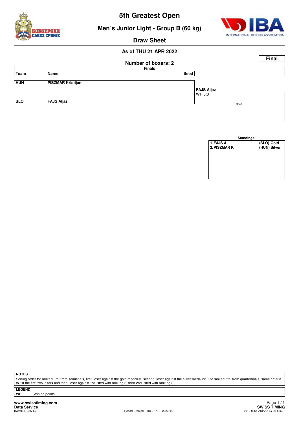





#### **Draw Sheet**

#### **As of THU 21 APR 2022**

|            |                          |                            |                   |      | <b>Final</b> |
|------------|--------------------------|----------------------------|-------------------|------|--------------|
|            |                          | <b>Number of boxers: 2</b> |                   |      |              |
|            |                          | <b>Finals</b>              |                   |      |              |
| Team       | Name                     | Seed                       |                   |      |              |
|            |                          |                            |                   |      |              |
| <b>HUN</b> | <b>PISZMAR Kristijan</b> |                            |                   |      |              |
|            |                          |                            | <b>FAJS Aljaz</b> |      |              |
|            |                          |                            | WP 5:0            |      |              |
| <b>SLO</b> | <b>FAJS Aljaz</b>        |                            |                   | Bout |              |
|            |                          |                            |                   |      |              |
|            |                          |                            |                   |      |              |

|              | Standings:   |
|--------------|--------------|
| 1. FAJS A    | (SLO) Gold   |
| 2. PISZMAR K | (HUN) Silver |
|              |              |
|              |              |
|              |              |
|              |              |
|              |              |
|              |              |

**NOTES**

Sorting order for ranked 3rd: from semifinals, first, loser against the gold medallist, second, loser against the silver medallist. For ranked 5th: from quarterfinals, same criteria to list the first two losers and then, loser against 1st listed with ranking 3, then 2nd listed with ranking 3.

**LEGEND**

**Win on points** 

**www.swisstiming.com Data Service SWISS TIMING**

1 / 1 Edge 1<br>SWISS TIMING<br>0010-036c-AIBA.ORG-30-82601 0010-036c-AIBA.ORG-30-82601 0010-036c-AIBA.ORG-30-82601 Page 1/1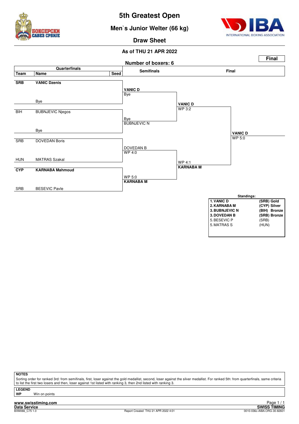





**Draw Sheet**

#### **As of THU 21 APR 2022**



**NOTES**

Sorting order for ranked 3rd: from semifinals, first, loser against the gold medallist, second, loser against the silver medallist. For ranked 5th: from quarterfinals, same criteria to list the first two losers and then, loser against 1st listed with ranking 3, then 2nd listed with ranking 3.

**LEGEND Win on points** 

**www.swisstiming.com**<br>Data Service<br>BXM066 C75.1.0

**Data Service SWISS TIMING**<br>BXM066\_C75 1.0 8010-036c-AIBA.ORG-30-82601 Report Created THU 21 APR 2022 4:01 0010-036c-AIBA.ORG-30-82601 Page 1 / 1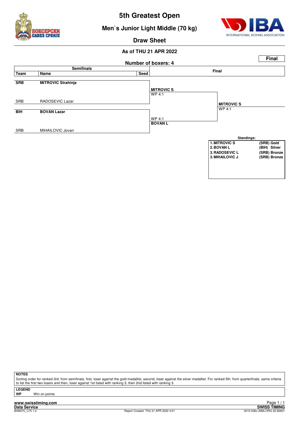

#### **Men`s Junior Light Middle (70 kg)**



**Draw Sheet**

#### **As of THU 21 APR 2022**



**NOTES**

Sorting order for ranked 3rd: from semifinals, first, loser against the gold medallist, second, loser against the silver medallist. For ranked 5th: from quarterfinals, same criteria to list the first two losers and then, loser against 1st listed with ranking 3, then 2nd listed with ranking 3.

**LEGEND**

**Win on points** 

**www.swisstiming.com Data Service SWISS TIMING**

<u>r aye 1/1</u><br>SWISS TIMING<br>0010-036c-AIBA.ORG-30-82601 0010-036c-AIBA.ORG-30-82601 0010-036c-AIBA.ORG-30-82601 Page 1 / 1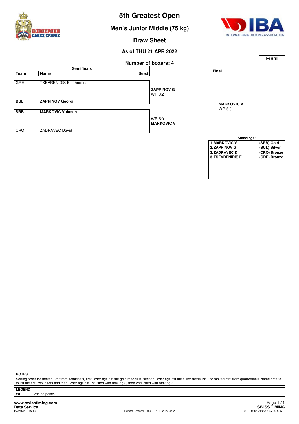

**Men`s Junior Middle (75 kg)**



**Draw Sheet**

#### **As of THU 21 APR 2022**



**NOTES**

Sorting order for ranked 3rd: from semifinals, first, loser against the gold medallist, second, loser against the silver medallist. For ranked 5th: from quarterfinals, same criteria to list the first two losers and then, loser against 1st listed with ranking 3, then 2nd listed with ranking 3.

**LEGEND**

**Win on points**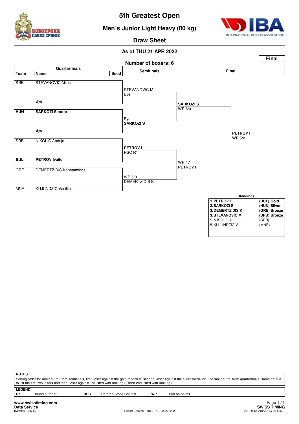

#### **Men`s Junior Light Heavy (80 kg)**



**Draw Sheet**



| <b>NOTES</b>  |                                                                                                                                                                                       |     |                                                                                                                   |    |               |  |  |  |
|---------------|---------------------------------------------------------------------------------------------------------------------------------------------------------------------------------------|-----|-------------------------------------------------------------------------------------------------------------------|----|---------------|--|--|--|
|               | Sorting order for ranked 3rd: from semifinals, first, loser against the gold medallist, second, loser against the silver medallist. For ranked 5th: from quarterfinals, same criteria |     |                                                                                                                   |    |               |  |  |  |
|               |                                                                                                                                                                                       |     | I to list the first two losers and then, loser against 1st listed with ranking 3, then 2nd listed with ranking 3. |    |               |  |  |  |
| <b>LEGEND</b> |                                                                                                                                                                                       |     |                                                                                                                   |    |               |  |  |  |
| Rn            | Round number                                                                                                                                                                          | RSC | Referee Stops Contest                                                                                             | WP | Win on points |  |  |  |
|               | the company of the contract of the contract of the contract of the contract of the contract of the contract of                                                                        |     |                                                                                                                   |    | $D = 4$ $(4)$ |  |  |  |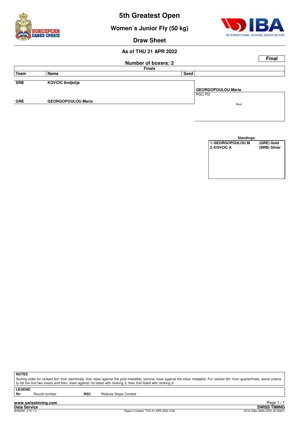



**Draw Sheet**

**Women`s Junior Fly (50 kg)**

#### **As of THU 21 APR 2022**

|            |                           |                            |                           | <b>Final</b> |
|------------|---------------------------|----------------------------|---------------------------|--------------|
|            |                           | <b>Number of boxers: 2</b> |                           |              |
|            |                           | <b>Finals</b>              |                           |              |
| Team       | Name                      | Seed                       |                           |              |
|            |                           |                            |                           |              |
| <b>SRB</b> | <b>KOVCIC Andjelija</b>   |                            |                           |              |
|            |                           |                            | <b>GEORGOPOULOU Maria</b> |              |
|            |                           |                            | RSC <sub>R2</sub>         |              |
| <b>GRE</b> | <b>GEORGOPOULOU Maria</b> |                            | Bout                      |              |
|            |                           |                            |                           |              |
|            |                           |                            |                           |              |

| Standings:        |              |
|-------------------|--------------|
| 1. GEORGOPOULOU M | (GRE) Gold   |
| 2. KOVCIC A       | (SRB) Silver |
|                   |              |
|                   |              |
|                   |              |
|                   |              |
|                   |              |
|                   |              |

**NOTES**

Sorting order for ranked 3rd: from semifinals, first, loser against the gold medallist, second, loser against the silver medallist. For ranked 5th: from quarterfinals, same criteria to list the first two losers and then, loser against 1st listed with ranking 3, then 2nd listed with ranking 3.

**LEGEND**

Round number **RSC** Referee Stops Contest

**www.swisstiming.com Data Service SWISS TIMING**

1 / 1 Edge 1<br>SWISS TIMING<br>0010-036c-AIBA.ORG-30-82601 0010-036c-AIBA.ORG-30-82601 0010-036c-AIBA.ORG-30-82601 Page 1/1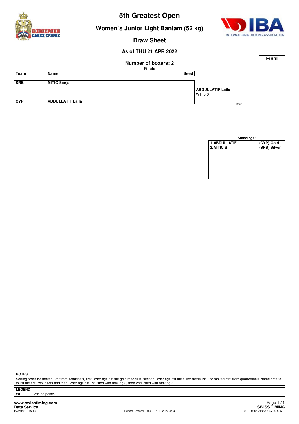



**Women`s Junior Light Bantam (52 kg)**

#### **Draw Sheet**

#### **As of THU 21 APR 2022**



|                        | Standings: |            |              |
|------------------------|------------|------------|--------------|
| <b>1. ABDULLATIF L</b> |            | (CYP) Gold |              |
| 2. MITIC S             |            |            | (SRB) Silver |
|                        |            |            |              |
|                        |            |            |              |
|                        |            |            |              |
|                        |            |            |              |
|                        |            |            |              |
|                        |            |            |              |

**NOTES**

Sorting order for ranked 3rd: from semifinals, first, loser against the gold medallist, second, loser against the silver medallist. For ranked 5th: from quarterfinals, same criteria to list the first two losers and then, loser against 1st listed with ranking 3, then 2nd listed with ranking 3.

**LEGEND**

**Win on points** 

**www.swisstiming.com**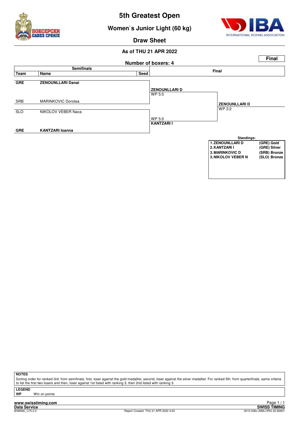

#### **Women`s Junior Light (60 kg)**



**Draw Sheet**

#### **As of THU 21 APR 2022**



**NOTES**

Sorting order for ranked 3rd: from semifinals, first, loser against the gold medallist, second, loser against the silver medallist. For ranked 5th: from quarterfinals, same criteria to list the first two losers and then, loser against 1st listed with ranking 3, then 2nd listed with ranking 3.

**LEGEND**

**Win on points** 

**www.swisstiming.com**

**Data Service SWISS TIMING** 1 / 1 Edge 1<br>SWISS TIMING<br>0010-036c-AIBA.ORG-30-82601 0010-036c-AIBA.ORG-30-82601 0010-036c-AIBA.ORG-30-82601 Page 1 / 1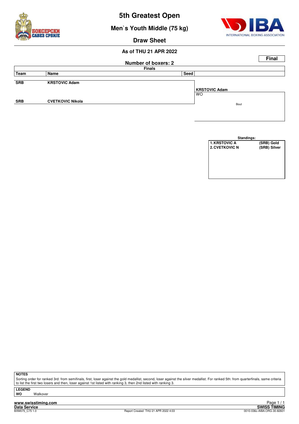

**Men`s Youth Middle (75 kg)**



#### **Draw Sheet**

#### **As of THU 21 APR 2022**

|            |                            |               |                                   | <b>Final</b> |  |  |  |  |  |
|------------|----------------------------|---------------|-----------------------------------|--------------|--|--|--|--|--|
|            | <b>Number of boxers: 2</b> |               |                                   |              |  |  |  |  |  |
|            |                            | <b>Finals</b> |                                   |              |  |  |  |  |  |
| Team       | Name                       | Seed          |                                   |              |  |  |  |  |  |
| <b>SRB</b> | <b>KRSTOVIC Adam</b>       |               |                                   |              |  |  |  |  |  |
|            |                            |               | <b>KRSTOVIC Adam</b><br><b>WO</b> |              |  |  |  |  |  |
| <b>SRB</b> | <b>CVETKOVIC Nikola</b>    |               | Bout                              |              |  |  |  |  |  |
|            |                            |               |                                   |              |  |  |  |  |  |
|            |                            |               |                                   |              |  |  |  |  |  |

| Standings:            |              |  |  |  |  |  |  |  |  |
|-----------------------|--------------|--|--|--|--|--|--|--|--|
| <b>1. KRSTOVIC A</b>  | (SRB) Gold   |  |  |  |  |  |  |  |  |
| <b>2. CVETKOVIC N</b> | (SRB) Silver |  |  |  |  |  |  |  |  |
|                       |              |  |  |  |  |  |  |  |  |
|                       |              |  |  |  |  |  |  |  |  |
|                       |              |  |  |  |  |  |  |  |  |
|                       |              |  |  |  |  |  |  |  |  |
|                       |              |  |  |  |  |  |  |  |  |
|                       |              |  |  |  |  |  |  |  |  |

**NOTES**

Sorting order for ranked 3rd: from semifinals, first, loser against the gold medallist, second, loser against the silver medallist. For ranked 5th: from quarterfinals, same criteria to list the first two losers and then, loser against 1st listed with ranking 3, then 2nd listed with ranking 3.

**LEGEND Walkover** 

**www.swisstiming.com**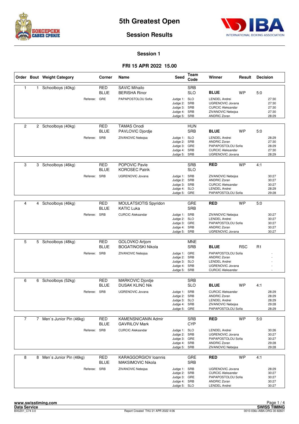



#### **Session 1**

|                |              | Order Bout Weight Category | Corner                    | Name                                                    | <b>Seed</b>                                                                  | Team<br>Code             | Winner                                                                                                                   | Result     | <b>Decision</b> |                                           |
|----------------|--------------|----------------------------|---------------------------|---------------------------------------------------------|------------------------------------------------------------------------------|--------------------------|--------------------------------------------------------------------------------------------------------------------------|------------|-----------------|-------------------------------------------|
| $\mathbf{1}$   | $\mathbf{1}$ | Schoolboys (40kg)          | <b>RED</b><br>BLUE        | <b>SAVIC Mihailo</b><br><b>BERISHA Rinor</b>            |                                                                              | <b>SRB</b><br><b>SLO</b> | <b>BLUE</b>                                                                                                              | <b>WP</b>  | 5:0             |                                           |
|                |              | Referee:                   | GRE                       | PAPAPOSTOLOU Sofia                                      | Judge 1: SLO<br>Judge 2:<br>Judge 3: SRB<br>Judge 4: SRB<br>Judge 5: SRB     | SRB                      | <b>LENDEL Andrei</b><br><b>UGRENOVIC Jovana</b><br><b>CURCIC Aleksandar</b><br>ZIVANOVIC Nebojsa<br><b>ANDRIC Zoran</b>  |            |                 | 27:30<br>27:30<br>27:30<br>27:30<br>28:29 |
| 2              |              | 2 Schoolboys (40kg)        | <b>RED</b><br><b>BLUE</b> | <b>TAMAS Onodi</b><br>PAVLOVIC Djordje                  |                                                                              | <b>HUN</b><br><b>SRB</b> | <b>BLUE</b>                                                                                                              | <b>WP</b>  | 5:0             |                                           |
|                |              | Referee: SRB               |                           | ZIVANOVIC Nebojsa                                       | Judge 1: SLO<br>Judge 2:<br>Judge 3: GRE<br>Judge 4: SRB<br>Judge 5: SRB     | SRB                      | <b>LENDEL Andrei</b><br><b>ANDRIC Zoran</b><br>PAPAPOSTOLOU Sofia<br><b>CURCIC Aleksandar</b><br>UGRENOVIC Jovana        |            |                 | 28:29<br>27:30<br>28:29<br>27:30<br>28:29 |
| 3              |              | 3 Schoolboys (46kg)        | <b>RED</b><br>BLUE        | POPOVIC Pavle<br><b>KOROSEC Patrik</b>                  |                                                                              | <b>SRB</b><br><b>SLO</b> | <b>RED</b>                                                                                                               | <b>WP</b>  | 4:1             |                                           |
|                |              | Referee:                   | SRB                       | <b>UGRENOVIC Jovana</b>                                 | Judge 1: SRB<br>Judge 2: SRB<br>Judge 3: SRB<br>Judge 4: SLO<br>Judge 5:     | GRE                      | ZIVANOVIC Nebojsa<br><b>ANDRIC Zoran</b><br><b>CURCIC Aleksandar</b><br><b>LENDEL Andrei</b><br>PAPAPOSTOLOU Sofia       |            |                 | 30:27<br>30:27<br>30:27<br>28:29<br>29:28 |
|                |              |                            |                           |                                                         |                                                                              |                          |                                                                                                                          |            |                 |                                           |
| 4              |              | 4 Schoolboys (46kg)        | <b>RED</b><br><b>BLUE</b> | MOULATSIOTIS Spyridon<br><b>KATIC Luka</b>              |                                                                              | <b>GRE</b><br><b>SRB</b> | <b>RED</b>                                                                                                               | <b>WP</b>  | 5:0             |                                           |
|                |              | Referee: SRB               |                           | <b>CURCIC Aleksandar</b>                                | Judge 1: SRB<br>Judge 2: SLO<br>Judge 3: GRE<br>Judge 4: SRB<br>Judge 5: SRB |                          | ZIVANOVIC Nebojsa<br><b>LENDEL Andrei</b><br>PAPAPOSTOLOU Sofia<br><b>ANDRIC Zoran</b><br>UGRENOVIC Jovana               |            |                 | 30:27<br>30:27<br>30:27<br>30:27<br>30:27 |
|                |              |                            |                           |                                                         |                                                                              |                          |                                                                                                                          |            |                 |                                           |
| 5              |              | 5 Schoolboys (48kg)        | RED<br><b>BLUE</b>        | GOLOVKO Artjom<br><b>BOGATINOSKI Nikola</b>             |                                                                              | <b>MNE</b><br><b>SRB</b> | <b>BLUE</b>                                                                                                              | <b>RSC</b> | R <sub>1</sub>  |                                           |
|                |              | Referee: SRB               |                           | ZIVANOVIC Nebojsa                                       | Judge 1: GRE<br>Judge 2: SRB<br>Judge 3: SLO<br>Judge 4: SRB<br>Judge 5: SRB |                          | PAPAPOSTOLOU Sofia<br><b>ANDRIC Zoran</b><br><b>LENDEL Andrei</b><br><b>UGRENOVIC Jovana</b><br><b>CURCIC Aleksandar</b> |            |                 |                                           |
| 6              | 6            | Schoolboys (52kg)          | RED                       | <b>MARKOVIC Djordje</b>                                 |                                                                              | <b>SRB</b>               |                                                                                                                          |            |                 |                                           |
|                |              |                            | <b>BLUE</b>               | <b>DUSAK KLINC Nik</b>                                  |                                                                              | <b>SLO</b>               | <b>BLUE</b>                                                                                                              | <b>WP</b>  | 4:1             |                                           |
|                |              | Referee: SRB               |                           | <b>UGRENOVIC Jovana</b>                                 | Judge 1: SRB<br>Judge 2: SRB<br>Judge 3: SLO<br>Judge 4: SRB<br>Judge 5: GRE |                          | <b>CURCIC Aleksandar</b><br><b>ANDRIC Zoran</b><br><b>LENDEL Andrei</b><br>ZIVANOVIC Nebojsa<br>PAPAPOSTOLOU Sofia       |            |                 | 28:29<br>28:29<br>28:29<br>29:28<br>28:29 |
| $\overline{7}$ |              | 7 Men's Junior Pin (46kg)  | <b>RED</b>                | <b>KAMENSNICANIN Admir</b>                              |                                                                              | <b>SRB</b>               | <b>RED</b>                                                                                                               | <b>WP</b>  | 5:0             |                                           |
|                |              |                            | <b>BLUE</b>               | <b>GAVRILOV Mark</b>                                    |                                                                              | <b>CYP</b>               |                                                                                                                          |            |                 |                                           |
|                |              | Referee:                   | SRB                       | <b>CURCIC Aleksandar</b>                                | Judge 1: SLO<br>Judge 2: SRB<br>Judge 3: GRE<br>Judge 4: SRB<br>Judge 5: SRB |                          | <b>LENDEL Andrei</b><br><b>UGRENOVIC Jovana</b><br>PAPAPOSTOLOU Sofia<br><b>ANDRIC Zoran</b><br>ZIVANOVIC Nebojsa        |            |                 | 30:26<br>30:27<br>30:27<br>29:28<br>29:28 |
| 8              |              | 8 Men's Junior Pin (46kg)  | RED<br><b>BLUE</b>        | <b>KARAGGORGIOV loannis</b><br><b>MAKSIMOVIC Nikola</b> |                                                                              | GRE<br><b>SRB</b>        | <b>RED</b>                                                                                                               | <b>WP</b>  | 4:1             |                                           |
|                |              | Referee: SRB               |                           | ZIVANOVIC Nebojsa                                       | Judge 1: SRB<br>Judge 2: SRB<br>Judge 3: GRE<br>Judge 4: SRB<br>Judge 5: SLO |                          | UGRENOVIC Jovana<br><b>CURCIC Aleksandar</b><br>PAPAPOSTOLOU Sofia<br><b>ANDRIC Zoran</b><br><b>LENDEL Andrei</b>        |            |                 | 28:29<br>30:27<br>30:27<br>30:27<br>30:27 |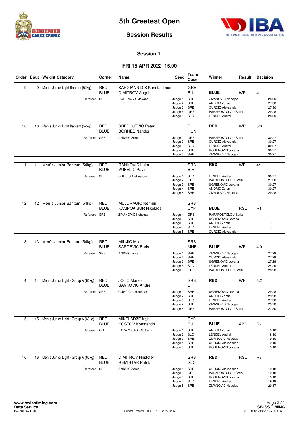



#### **Session Results**

#### **Session 1**

|    |    | Order Bout Weight Category             | Corner                    | Name                                                      | <b>Seed</b>                                                                  | Team<br>Code             | Winner                                                                                                                   | Result     | <b>Decision</b> |                                           |
|----|----|----------------------------------------|---------------------------|-----------------------------------------------------------|------------------------------------------------------------------------------|--------------------------|--------------------------------------------------------------------------------------------------------------------------|------------|-----------------|-------------------------------------------|
| 9  | 9  | Men's Junior Light Bantam (52kg)       | <b>RED</b><br><b>BLUE</b> | <b>SARGIANNIDIS Konstantinos</b><br><b>DIMITROV Angel</b> |                                                                              | GRE<br><b>BUL</b>        | <b>BLUE</b>                                                                                                              | <b>WP</b>  | 4:1             |                                           |
|    |    | Referee: SRB                           |                           | UGRENOVIC Jovana                                          | Judge 1: SRB<br>Judge 2: SRB<br>Judge 3: SRB<br>Judge 4: GRE<br>Judge 5: SLO |                          | ZIVANOVIC Nebojsa<br><b>ANDRIC Zoran</b><br><b>CURCIC Aleksandar</b><br>PAPAPOSTOLOU Sofia<br><b>LENDEL Andrei</b>       |            |                 | 28:29<br>27:30<br>27:30<br>29:28<br>28:29 |
| 10 | 10 | Men's Junior Light Bantam (52kg)       | RED<br><b>BLUE</b>        | <b>SREDOJEVIC Petar</b><br><b>BORNES Nandor</b>           |                                                                              | BIH<br><b>HUN</b>        | <b>RED</b>                                                                                                               | <b>WP</b>  | 5:0             |                                           |
|    |    | Referee: SRB                           |                           | <b>ANDRIC Zoran</b>                                       | Judge 1: GRE<br>Judge 2: SRB<br>Judge 3: SLO<br>Judge 4: SRB<br>Judge 5: SRB |                          | PAPAPOSTOLOU Sofia<br><b>CURCIC Aleksandar</b><br><b>LENDEL Andrei</b><br>UGRENOVIC Jovana<br>ZIVANOVIC Nebojsa          |            |                 | 30:27<br>30:27<br>30:27<br>30:27<br>30:27 |
| 11 | 11 | Men's Junior Bantam (54kg)             | <b>RED</b><br>BLUE        | <b>RANKOVIC Luka</b><br><b>VUKELIC Pavle</b>              |                                                                              | <b>SRB</b><br>BIH        | <b>RED</b>                                                                                                               | <b>WP</b>  | 4:1             |                                           |
|    |    | Referee:                               | <b>SRB</b>                | <b>CURCIC Aleksandar</b>                                  | Judge 1: SLO<br>Judge 2: GRE<br>Judge 3: SRB<br>Judge 4: SRB<br>Judge 5:     | SRB                      | <b>LENDEL Andrei</b><br>PAPAPOSTOLOU Sofia<br><b>UGRENOVIC Jovana</b><br><b>ANDRIC Zoran</b><br>ZIVANOVIC Nebojsa        |            |                 | 30:27<br>27:30<br>30:27<br>30:27<br>29:28 |
| 12 |    |                                        | RED                       | <b>MUJDRAGIC Nermin</b>                                   |                                                                              | <b>SRB</b>               |                                                                                                                          |            |                 |                                           |
|    | 12 | Men's Junior Bantam (54kg)             | BLUE                      | <b>KAMPOKISUR Nikolaos</b>                                |                                                                              | <b>CYP</b>               | <b>BLUE</b>                                                                                                              | <b>RSC</b> | R <sub>1</sub>  |                                           |
|    |    | Referee: SRB                           |                           | ZIVANOVIC Nebojsa                                         | Judge 1: GRE<br>Judge 2: SRB<br>Judge 3: SRB<br>Judge 4: SLO<br>Judge 5: SRB |                          | PAPAPOSTOLOU Sofia<br><b>UGRENOVIC Jovana</b><br><b>ANDRIC Zoran</b><br><b>LENDEL Andrei</b><br><b>CURCIC Aleksandar</b> |            |                 |                                           |
|    |    |                                        |                           |                                                           |                                                                              |                          |                                                                                                                          |            |                 |                                           |
| 13 |    | 13 Men's Junior Bantam (54kg)          | <b>RED</b><br>BLUE        | <b>MILIJIC Milos</b><br><b>SARCEVIC Boris</b>             |                                                                              | <b>SRB</b><br><b>MNE</b> | <b>BLUE</b>                                                                                                              | <b>WP</b>  | 4.0             |                                           |
|    |    | Referee: SRB                           |                           | <b>ANDRIC Zoran</b>                                       | Judge 1: SRB<br>Judge 2: SRB<br>Judge 3: SRB<br>Judge 4: SLO<br>Judge 5: GRE |                          | ZIVANOVIC Nebojsa<br><b>CURCIC Aleksandar</b><br><b>UGRENOVIC Jovana</b><br><b>LENDEL Andrei</b><br>PAPAPOSTOLOU Sofia   |            |                 | 27:29<br>27:29<br>27:29<br>24:29<br>28:28 |
| 14 | 14 | Men's Junior Light - Group A (60kg)    | RED                       | <b>JOJIC Marko</b>                                        |                                                                              | <b>SRB</b>               | <b>RED</b>                                                                                                               | <b>WP</b>  | 3:2             |                                           |
|    |    |                                        | <b>BLUE</b>               | SAVKOVIC Andrej                                           |                                                                              | <b>BIH</b>               |                                                                                                                          |            |                 |                                           |
|    |    | Referee: SRB                           |                           | <b>CURCIC Aleksandar</b>                                  | Judge 1: SRB<br>Judge 2: SRB<br>Judge 3: SLO<br>Judge 4: SRB<br>Judge 5: GRE |                          | <b>UGRENOVIC Jovana</b><br><b>ANDRIC Zoran</b><br><b>LENDEL Andrei</b><br>ZIVANOVIC Nebojsa<br>PAPAPOSTOLOU Sofia        |            |                 | 29:28<br>29:28<br>27:30<br>29:28<br>27:30 |
| 15 |    | 15 Men's Junior Light - Group A (60kg) | <b>RED</b>                | MIKELADZE Irakli                                          |                                                                              | <b>CYP</b>               |                                                                                                                          |            |                 |                                           |
|    |    |                                        | <b>BLUE</b>               | <b>KOSTOV Konstantin</b>                                  |                                                                              | <b>BUL</b>               | <b>BLUE</b>                                                                                                              | ABD        | R <sub>2</sub>  |                                           |
|    |    | Referee: GRE                           |                           | PAPAPOSTOLOU Sofia                                        | Judge 1: SRB<br>Judge 2: SLO<br>Judge 3: SRB<br>Judge 4: SRB<br>Judge 5: SRB |                          | <b>ANDRIC Zoran</b><br><b>LENDEL Andrei</b><br>ZIVANOVIC Nebojsa<br><b>CURCIC Aleksandar</b><br><b>UGRENOVIC Jovana</b>  |            |                 | 9:10<br>8:10<br>9:10<br>9:10<br>9:10      |
| 16 | 16 | Men's Junior Light - Group A (60kg)    | RED<br><b>BLUE</b>        | <b>DIMITROV Hristofer</b><br><b>REMISTAR Patrik</b>       |                                                                              | <b>SRB</b><br><b>SLO</b> | <b>RED</b>                                                                                                               | <b>RSC</b> | R <sub>3</sub>  |                                           |
|    |    | Referee: SRB                           |                           | <b>ANDRIC Zoran</b>                                       | Judge 1: SRB<br>Judge 2: GRE<br>Judge 3: SRB<br>Judge 4: SLO<br>Judge 5: SRB |                          | <b>CURCIC Aleksandar</b><br>PAPAPOSTOLOU Sofia<br><b>UGRENOVIC Jovana</b><br><b>LENDEL Andrei</b><br>ZIVANOVIC Nebojsa   |            |                 | 19:18<br>19:18<br>19:18<br>19:18<br>20:17 |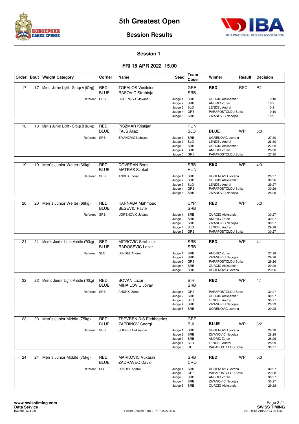



#### **Session Results**

#### **Session 1**

|    |    | Order Bout Weight Category          | Corner                    | Name                                             | Seed                                                                         | <b>Team</b><br>Code      | Winner                                                                                                                   | Result     | <b>Decision</b> |                                           |
|----|----|-------------------------------------|---------------------------|--------------------------------------------------|------------------------------------------------------------------------------|--------------------------|--------------------------------------------------------------------------------------------------------------------------|------------|-----------------|-------------------------------------------|
| 17 | 17 | Men's Junior Light - Group A (60kg) | <b>RED</b><br>BLUE        | <b>TOPALOS Vasileios</b><br>RASOVIC Strahinja    |                                                                              | GRE<br><b>SRB</b>        | <b>RED</b>                                                                                                               | <b>RSC</b> | R <sub>2</sub>  |                                           |
|    |    | Referee: SRB                        |                           | <b>UGRENOVIC Jovana</b>                          | Judge 1: SRB<br>Judge 2: SRB<br>Judge 3: SLO<br>Judge 4: GRE<br>Judge 5:     | SRB                      | <b>CURCIC Aleksandar</b><br><b>ANDRIC Zoran</b><br><b>LENDEL Andrei</b><br>PAPAPOSTOLOU Sofia<br>ZIVANOVIC Nebojsa       |            |                 | 9:10<br>10:9<br>10:9<br>9:10<br>10:9      |
| 18 | 18 | Men's Junior Light - Group B (60kg) | RED<br>BLUE               | PISZMAR Kristijan<br><b>FAJS Aljaz</b>           |                                                                              | HUN<br><b>SLO</b>        | <b>BLUE</b>                                                                                                              | WP         | 5:0             |                                           |
|    |    | Referee: SRB                        |                           | ZIVANOVIC Nebojsa                                | Judge 1: SRB<br>Judge 2: SLO<br>Judge 3: SRB<br>Judge 4: SRB<br>Judge 5: GRE |                          | <b>UGRENOVIC Jovana</b><br><b>LENDEL Andrei</b><br><b>CURCIC Aleksandar</b><br><b>ANDRIC Zoran</b><br>PAPAPOSTOLOU Sofia |            |                 | 27:30<br>26:30<br>27:29<br>26:30<br>27:30 |
| 19 |    | 19 Men's Junior Welter (66kg)       | <b>RED</b><br><b>BLUE</b> | <b>DOVEDAN Boris</b><br><b>MATRAS Szakal</b>     |                                                                              | <b>SRB</b><br><b>HUN</b> | <b>RED</b>                                                                                                               | <b>WP</b>  | 4:0             |                                           |
|    |    | Referee:                            | SRB                       | <b>ANDRIC Zoran</b>                              | Judge 1: SRB<br>Judge 2: SRB<br>Judge 3: SLO<br>Judge 4: GRE<br>Judge 5:     | SRB                      | <b>UGRENOVIC Jovana</b><br><b>CURCIC Aleksandar</b><br><b>LENDEL Andrei</b><br>PAPAPOSTOLOU Sofia<br>ZIVANOVIC Nebojsa   |            |                 | 29:27<br>30:26<br>29:27<br>30:26<br>28:28 |
|    |    |                                     |                           |                                                  |                                                                              |                          |                                                                                                                          |            |                 |                                           |
| 20 | 20 | Men's Junior Welter (66kg)          | <b>RED</b><br>BLUE        | <b>KARNABA Mahmoud</b><br><b>BESEVIC Pavle</b>   |                                                                              | <b>CYP</b><br><b>SRB</b> | <b>RED</b>                                                                                                               | <b>WP</b>  | 5:0             |                                           |
|    |    | Referee: SRB                        |                           | <b>UGRENOVIC Jovana</b>                          | Judge 1: SRB<br>Judge 2: SRB<br>Judge 3: SRB<br>Judge 4: SLO<br>Judge 5: GRE |                          | <b>CURCIC Aleksandar</b><br><b>ANDRIC Zoran</b><br>ZIVANOVIC Nebojsa<br><b>LENDEL Andrei</b><br>PAPAPOSTOLOU Sofia       |            |                 | 30:27<br>30:27<br>30:27<br>29:28<br>30:27 |
|    |    |                                     |                           |                                                  |                                                                              |                          |                                                                                                                          |            |                 |                                           |
| 21 | 21 | Men's Junior Light Middle (70kg)    | RED<br>BLUE               | MITROVIC Strahinja<br>RADOSEVIC Lazar            |                                                                              | <b>SRB</b><br><b>SRB</b> | <b>RED</b>                                                                                                               | <b>WP</b>  | 4:1             |                                           |
|    |    | Referee: SLO                        |                           | <b>LENDEL Andrei</b>                             | Judge 1: SRB<br>Judge 2: SRB<br>Judge 3: GRE<br>Judge 4: SRB<br>Judge 5:     | SRB                      | <b>ANDRIC Zoran</b><br>ZIVANOVIC Nebojsa<br>PAPAPOSTOLOU Sofia<br><b>CURCIC Aleksandar</b><br><b>UGRENOVIC Jovana</b>    |            |                 | 27:28<br>29:26<br>29:26<br>29:26<br>29:26 |
|    |    |                                     |                           |                                                  |                                                                              |                          |                                                                                                                          |            |                 |                                           |
| 22 |    | 22 Men's Junior Light Middle (70kg) | RED<br>BLUE               | <b>BOVAN Lazar</b><br>MIHAILOVIC Jovan           |                                                                              | BIH<br><b>SRB</b>        | <b>RED</b>                                                                                                               | <b>WP</b>  | 4:1             |                                           |
|    |    | Referee: SRB                        |                           | <b>ANDRIC Zoran</b>                              | Judge 1: GRE<br>Judge 2: SRB<br>Judge 3: SLO<br>Judge 4: SRB<br>Judge 5: SRB |                          | PAPAPOSTOLOU Sofia<br><b>CURCIC Aleksandar</b><br><b>LENDEL Andrei</b><br>ZIVANOVIC Nebojsa<br><b>UGRENOVIC Jovana</b>   |            |                 | 30:27<br>30:27<br>30:27<br>28:29<br>29:28 |
| 23 |    | 23 Men's Junior Middle (75kg)       | RED                       | <b>TSEVRENIDIS Eleftheerios</b>                  |                                                                              | GRE                      |                                                                                                                          |            |                 |                                           |
|    |    |                                     | <b>BLUE</b>               | ZAPRINOV Georgi                                  |                                                                              | <b>BUL</b>               | <b>BLUE</b>                                                                                                              | WP         | 3:2             |                                           |
|    |    | Referee: SRB                        |                           | <b>CURCIC Aleksandar</b>                         | Judge 1: SRB<br>Judge 2: SRB<br>Judge 3: SRB<br>Judge 4: SLO<br>Judge 5:     | GRE                      | <b>UGRENOVIC Jovana</b><br>ZIVANOVIC Nebojsa<br><b>ANDRIC Zoran</b><br><b>LENDEL Andrei</b><br>PAPAPOSTOLOU Sofia        |            |                 | 29:28<br>28:29<br>28:29<br>28:29<br>30:27 |
| 24 | 24 | Men's Junior Middle (75kg)          | <b>RED</b><br><b>BLUE</b> | <b>MARKOVIC Vukasin</b><br><b>ZADRAVEC David</b> |                                                                              | <b>SRB</b><br>CRO        | RED                                                                                                                      | <b>WP</b>  | 5:0             |                                           |
|    |    | Referee: SLO                        |                           | <b>LENDEL Andrei</b>                             | Judge 1: SRB<br>Judge 2: GRE<br>Judge 3: SRB<br>Judge 4: SRB<br>Judge 5: SRB |                          | <b>UGRENOVIC Jovana</b><br>PAPAPOSTOLOU Sofia<br><b>ANDRIC Zoran</b><br>ZIVANOVIC Nebojsa<br><b>CURCIC Aleksandar</b>    |            |                 | 30:27<br>29:28<br>30:27<br>30:27<br>29:28 |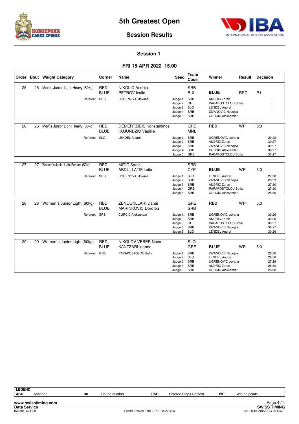



#### **Session 1**

|    |    | Order Bout Weight Category         | Corner                    | Name                                                         | Seed                                                                         | Team<br>Code             | Winner                                                                                                             | Result     | <b>Decision</b> |                |
|----|----|------------------------------------|---------------------------|--------------------------------------------------------------|------------------------------------------------------------------------------|--------------------------|--------------------------------------------------------------------------------------------------------------------|------------|-----------------|----------------|
| 25 | 25 | Men's Junior Light Heavy (80kg)    | <b>RED</b>                | NIKOLIC Andrija                                              |                                                                              | <b>SRB</b>               |                                                                                                                    |            |                 |                |
|    |    |                                    | <b>BLUE</b>               | PETROV Ivailo                                                |                                                                              | <b>BUL</b>               | <b>BLUE</b>                                                                                                        | <b>RSC</b> | R <sub>1</sub>  |                |
|    |    | Referee: SRB                       |                           | <b>UGRENOVIC Jovana</b>                                      | Judge 1: SRB<br>Judge 2: GRE<br>Judge 3: SLO<br>Judge 4: SRB<br>Judge 5: SRB |                          | <b>ANDRIC Zoran</b><br>PAPAPOSTOLOU Sofia<br><b>LENDEL Andrei</b><br>ZIVANOVIC Nebojsa<br><b>CURCIC Aleksandar</b> |            |                 |                |
|    |    |                                    |                           |                                                              |                                                                              |                          |                                                                                                                    |            |                 |                |
| 26 | 26 | Men's Junior Light Heavy (80kg)    | <b>RED</b><br><b>BLUE</b> | <b>DEMERTZIDIS Konstantinos</b><br><b>KUJUNDZIC Vasilije</b> |                                                                              | <b>GRE</b><br><b>MNE</b> | <b>RED</b>                                                                                                         | <b>WP</b>  | 5:0             |                |
|    |    | Referee: SLO                       |                           | <b>LENDEL Andrei</b>                                         | Judge 1: SRB                                                                 |                          | <b>UGRENOVIC Jovana</b>                                                                                            |            |                 | 29:28          |
|    |    |                                    |                           |                                                              | Judge 2: SRB<br>Judge 3: SRB                                                 |                          | <b>ANDRIC Zoran</b><br>ZIVANOVIC Nebojsa                                                                           |            |                 | 30:27<br>30:27 |
|    |    |                                    |                           |                                                              | Judge 4: SRB                                                                 |                          | <b>CURCIC Aleksandar</b>                                                                                           |            |                 | 30:27          |
|    |    |                                    |                           |                                                              | Judge 5:                                                                     | GRE                      | PAPAPOSTOLOU Sofia                                                                                                 |            |                 | 30:27          |
|    |    |                                    |                           |                                                              |                                                                              |                          |                                                                                                                    |            |                 |                |
| 27 | 27 | Women's Junior Light Bantam (52kg) | <b>RED</b><br><b>BLUE</b> | <b>MITIC Sanja</b><br><b>ABDULLATIF Laila</b>                |                                                                              | <b>SRB</b><br><b>CYP</b> | <b>BLUE</b>                                                                                                        | <b>WP</b>  | 5:0             |                |
|    |    | Referee: SRB                       |                           | <b>UGRENOVIC Jovana</b>                                      | Judge 1: SLO                                                                 |                          | <b>LENDEL Andrei</b>                                                                                               |            |                 | 27:30          |
|    |    |                                    |                           |                                                              | Judge 2: SRB<br>Judge 3: SRB                                                 |                          | <b>ZIVANOVIC Nebojsa</b><br><b>ANDRIC Zoran</b>                                                                    |            |                 | 28:29<br>27:30 |
|    |    |                                    |                           |                                                              | Judge 4: GRE                                                                 |                          | PAPAPOSTOLOU Sofia                                                                                                 |            |                 | 27:30          |
|    |    |                                    |                           |                                                              | Judge 5: SRB                                                                 |                          | <b>CURCIC Aleksandar</b>                                                                                           |            |                 | 25:30          |
| 28 | 28 | Women's Junior Light (60kg)        | <b>RED</b>                | ZENOUNLLARI Danai                                            |                                                                              | GRE                      | <b>RED</b>                                                                                                         | <b>WP</b>  | 5:0             |                |
|    |    |                                    | <b>BLUE</b>               | <b>MARINKOVIC Dorotea</b>                                    |                                                                              | <b>SRB</b>               |                                                                                                                    |            |                 |                |
|    |    | Referee: SRB                       |                           | <b>CURCIC Aleksandar</b>                                     | Judge 1: SRB                                                                 |                          | <b>UGRENOVIC Jovana</b>                                                                                            |            |                 | 30:26          |
|    |    |                                    |                           |                                                              | Judge 2: SRB<br>Judge 3: GRE                                                 |                          | <b>ANDRIC Zoran</b><br>PAPAPOSTOLOU Sofia                                                                          |            |                 | 30:26<br>30:27 |
|    |    |                                    |                           |                                                              | Judge 4: SRB                                                                 |                          | ZIVANOVIC Nebojsa                                                                                                  |            |                 | 30:27          |
|    |    |                                    |                           |                                                              | Judge 5: SLO                                                                 |                          | <b>LENDEL Andrei</b>                                                                                               |            |                 | 30:26          |
|    |    |                                    |                           |                                                              |                                                                              |                          |                                                                                                                    |            |                 |                |
| 29 | 29 | Women's Junior Light (60kg)        | <b>RED</b><br><b>BLUE</b> | NIKOLOV VEBER Naca<br>KANTZARI Ioanna                        |                                                                              | <b>SLO</b><br>GRE        | <b>BLUE</b>                                                                                                        | <b>WP</b>  | 5:0             |                |
|    |    | Referee:                           | GRE                       | PAPAPOSTOLOU Sofia                                           | Judge 1: SRB                                                                 |                          | ZIVANOVIC Nebojsa                                                                                                  |            |                 | 26:30          |
|    |    |                                    |                           |                                                              | Judge 2: SLO<br>Judge 3:                                                     | SRB                      | <b>LENDEL Andrei</b><br><b>UGRENOVIC Jovana</b>                                                                    |            |                 | 26:30<br>27:29 |
|    |    |                                    |                           |                                                              | Judge 4: SRB                                                                 |                          | <b>ANDRIC Zoran</b>                                                                                                |            |                 | 26:30          |
|    |    |                                    |                           |                                                              | Judge 5: SRB                                                                 |                          | <b>CURCIC Aleksandar</b>                                                                                           |            |                 | 26:30          |

| <b>LEGEND</b>       |                     |    |              |                                     |                       |    |               |                             |
|---------------------|---------------------|----|--------------|-------------------------------------|-----------------------|----|---------------|-----------------------------|
| <b>ABD</b>          | Abandon             | Rn | Round number | <b>RSC</b>                          | Referee Stops Contest | WP | Win on points |                             |
|                     |                     |    |              |                                     |                       |    |               |                             |
|                     | www.swisstiming.com |    |              |                                     |                       |    |               | Page $4/4$                  |
| <b>Data Service</b> |                     |    |              |                                     |                       |    |               | <b>SWISS TIMING</b>         |
| BX0Z01 C74 3.0      |                     |    |              | Report Created THU 21 APR 2022 4:06 |                       |    |               | 0010-036c-AIBA.ORG-30-82601 |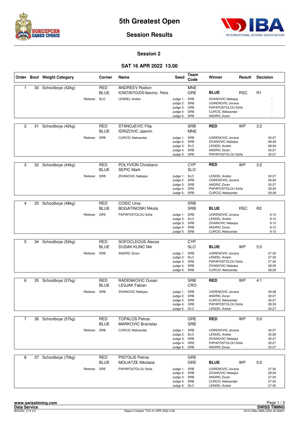



#### **Session 2**

#### **SAT 16 APR 2022 13.00**

|                |    | Order Bout Weight Category |              | Corner                    | Name                                                                                     | Seed                                                                         | <b>Team</b><br>Code      | Winner                                                                                                                                 | Result     | <b>Decision</b> |                                           |
|----------------|----|----------------------------|--------------|---------------------------|------------------------------------------------------------------------------------------|------------------------------------------------------------------------------|--------------------------|----------------------------------------------------------------------------------------------------------------------------------------|------------|-----------------|-------------------------------------------|
| $\mathbf{1}$   |    | 30 Schoolboys (42kg)       | Referee: SLO | <b>RED</b><br><b>BLUE</b> | <b>ANDREEV Rodion</b><br><b>KONSTANTIOUDIS Nearchos - Petros</b><br><b>LENDEL Andrei</b> | Judge 1: SRB<br>Judge 2: SRB<br>Judge 3: GRE<br>Judge 4: SRB<br>Judge 5: SRB | <b>MNE</b><br>GRE        | <b>BLUE</b><br>ZIVANOVIC Nebojsa<br>UGRENOVIC Jovana<br>PAPAPOSTOLOU Sofia<br><b>CURCIC Aleksandar</b><br><b>ANDRIC Zoran</b>          | <b>RSC</b> | R <sub>1</sub>  |                                           |
| $\overline{c}$ | 31 | Schoolboys (42kg)          | Referee: SRB | <b>RED</b><br><b>BLUE</b> | <b>STANOJEVIC Filip</b><br><b>IDRIZOVIC Jasmin</b><br><b>CURCIC Aleksandar</b>           | Judge 1: SRB<br>Judge 2: SRB<br>Judge 3: SLO<br>Judge 4: SRB<br>Judge 5: GRE | <b>SRB</b><br><b>MNE</b> | <b>RED</b><br><b>UGRENOVIC Jovana</b><br>ZIVANOVIC Nebojsa<br><b>LENDEL Andrei</b><br><b>ANDRIC Zoran</b><br>PAPAPOSTOLOU Sofia        | <b>WP</b>  | 3:2             | 30:27<br>28:29<br>28:29<br>30:27<br>30:27 |
| 3              |    | 32 Schoolboys (44kg)       | Referee:     | RED<br><b>BLUE</b><br>SRB | POLYVION Christiano<br><b>SEPIC Mark</b><br>ZIVANOVIC Nebojsa                            | Judge 1: SLO<br>Judge 2: SRB<br>Judge 3: SRB<br>Judge 4: GRE<br>Judge 5: SRB | <b>CYP</b><br><b>SLO</b> | <b>RED</b><br><b>LENDEL Andrei</b><br><b>UGRENOVIC Jovana</b><br><b>ANDRIC Zoran</b><br>PAPAPOSTOLOU Sofia<br><b>CURCIC Aleksandar</b> | <b>WP</b>  | 3:2             | 30:27<br>28:29<br>30:27<br>28:29<br>29:28 |
| 4              | 33 | Schoolboys (48kg)          | Referee: GRE | <b>RED</b><br><b>BLUE</b> | <b>COSIC Uros</b><br><b>BOGATINOSKI Nikola</b><br>PAPAPOSTOLOU Sofia                     | Judge 1: SRB<br>Judge 2: SLO<br>Judge 3: SRB<br>Judge 4: SRB<br>Judge 5: SRB | <b>SRB</b><br><b>SRB</b> | <b>BLUE</b><br><b>UGRENOVIC Jovana</b><br><b>LENDEL Andrei</b><br>ZIVANOVIC Nebojsa<br><b>ANDRIC Zoran</b><br><b>CURCIC Aleksandar</b> | <b>RSC</b> | R <sub>2</sub>  | 9:10<br>8:10<br>9:10<br>9:10<br>9:10      |
| 5              | 34 | Schoolboys (52kg)          | Referee: SRB | <b>RED</b><br><b>BLUE</b> | SOFOCLEOUS Alecos<br><b>DUSAK KLINC Nik</b><br><b>ANDRIC Zoran</b>                       | Judge 1: SRB<br>Judge 2: SLO<br>Judge 3: GRE<br>Judge 4: SRB<br>Judge 5: SRB | <b>CYP</b><br><b>SLO</b> | <b>BLUE</b><br><b>UGRENOVIC Jovana</b><br><b>LENDEL Andrei</b><br>PAPAPOSTOLOU Sofia<br>ZIVANOVIC Nebojsa<br><b>CURCIC Aleksandar</b>  | <b>WP</b>  | 5:0             | 27:30<br>27:30<br>27:30<br>28:29<br>28:29 |
| 6              | 35 | Schoolboys (57kg)          | Referee: SRB | <b>RED</b><br><b>BLUE</b> | RADENKOVIC Dusan<br><b>LESJAK Fabian</b><br>ZIVANOVIC Nebojsa                            | Judge 1: SRB<br>Judge 2: SRB<br>Judge 3: SRB<br>Judge 4: GRE<br>Judge 5: SLO | <b>SRB</b><br>CRO        | <b>RED</b><br><b>UGRENOVIC Jovana</b><br><b>ANDRIC Zoran</b><br><b>CURCIC Aleksandar</b><br>PAPAPOSTOLOU Sofia<br><b>LENDEL Andrei</b> | <b>WP</b>  | 4:1             | 29:28<br>30:27<br>30:27<br>28:29<br>30:27 |
| $\overline{7}$ |    | 36 Schoolboys (57kg)       | Referee: SRB | RED<br><b>BLUE</b>        | <b>TOPALOS Petros</b><br><b>MARKOVIC Branislav</b><br><b>CURCIC Aleksandar</b>           | Judge 1: SRB<br>Judge 2: SLO<br>Judge 3: SRB<br>Judge 4: GRE<br>Judge 5: SRB | GRE<br><b>SRB</b>        | <b>RED</b><br><b>UGRENOVIC Jovana</b><br><b>LENDEL Andrei</b><br>ZIVANOVIC Nebojsa<br>PAPAPOSTOLOU Sofia<br>ANDRIC Zoran               | <b>WP</b>  | 5:0             | 30:27<br>30:26<br>30:27<br>30:27<br>30:27 |
| 8              |    | 37 Schoolboys (70kg)       | Referee: GRE | <b>RED</b><br><b>BLUE</b> | <b>PISTOLIS Petros</b><br><b>MOLIATZE Nikolaos</b><br>PAPAPOSTOLOU Sofia                 | Judge 1: SRB<br>Judge 2: SRB<br>Judge 3: SRB<br>Judge 4: SRB<br>Judge 5: SLO | GRE<br>GRE               | <b>BLUE</b><br>UGRENOVIC Jovana<br>ZIVANOVIC Nebojsa<br><b>ANDRIC Zoran</b><br><b>CURCIC Aleksandar</b><br><b>LENDEL Andrei</b>        | WP         | 5:0             | 27:30<br>28:29<br>27:30<br>27:30<br>27:30 |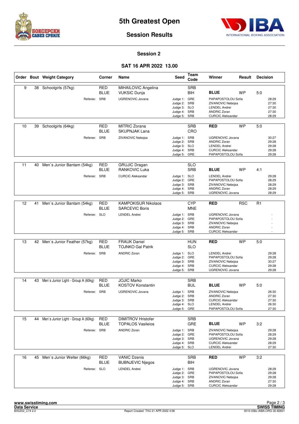



#### **Session 2**

#### **SAT 16 APR 2022 13.00**

|    |    | Order Bout Weight Category             | Corner                    | Name                                            | <b>Seed</b>                                                                  | Team<br>Code             | Winner                                                                                                                   | Result     | <b>Decision</b> |                                           |
|----|----|----------------------------------------|---------------------------|-------------------------------------------------|------------------------------------------------------------------------------|--------------------------|--------------------------------------------------------------------------------------------------------------------------|------------|-----------------|-------------------------------------------|
| 9  | 38 | Schoolgirls (57kg)                     | RED<br>BLUE               | MIHAILOVIC Angelina<br><b>VUKSIC Dunja</b>      |                                                                              | <b>SRB</b><br>BIH        | <b>BLUE</b>                                                                                                              | WP         | 5.0             |                                           |
|    |    | Referee:                               | SRB                       | <b>UGRENOVIC Jovana</b>                         | Judge 1: GRE<br>Judge 2: SRB<br>Judge 3: SLO<br>Judge 4: SRB<br>Judge 5:     | SRB                      | PAPAPOSTOLOU Sofia<br>ZIVANOVIC Nebojsa<br><b>LENDEL Andrei</b><br><b>ANDRIC Zoran</b><br><b>CURCIC Aleksandar</b>       |            |                 | 28:29<br>27:30<br>27:30<br>27:30<br>28:29 |
| 10 | 39 | Schoolgirls (64kg)                     | RED<br>BLUE               | <b>MITRIC Zorana</b><br><b>SKUPNJAK Lana</b>    |                                                                              | <b>SRB</b><br>CRO        | <b>RED</b>                                                                                                               | <b>WP</b>  | 5:0             |                                           |
|    |    | Referee: SRB                           |                           | ZIVANOVIC Nebojsa                               | Judge 1: SRB<br>Judge 2: SRB<br>Judge 3: SLO<br>Judge 4: SRB<br>Judge 5: GRE |                          | <b>UGRENOVIC Jovana</b><br><b>ANDRIC Zoran</b><br><b>LENDEL Andrei</b><br><b>CURCIC Aleksandar</b><br>PAPAPOSTOLOU Sofia |            |                 | 30:27<br>29:28<br>29:28<br>29:28<br>29:28 |
| 11 | 40 | Men's Junior Bantam (54kg)             | <b>RED</b><br><b>BLUE</b> | <b>GRUJIC Dragan</b><br><b>RANKOVIC Luka</b>    |                                                                              | <b>SLO</b><br><b>SRB</b> | <b>BLUE</b>                                                                                                              | <b>WP</b>  | 4:1             |                                           |
|    |    | Referee:                               | <b>SRB</b>                | <b>CURCIC Aleksandar</b>                        | Judge 1: SLO<br>Judge 2: GRE<br>Judge 3: SRB<br>Judge 4: SRB<br>Judge 5: SRB |                          | <b>LENDEL Andrei</b><br>PAPAPOSTOLOU Sofia<br>ZIVANOVIC Nebojsa<br><b>ANDRIC Zoran</b><br><b>UGRENOVIC Jovana</b>        |            |                 | 29:28<br>28:29<br>28:29<br>28:29<br>28:29 |
| 12 |    |                                        | <b>RED</b>                | <b>KAMPOKISUR Nikolaos</b>                      |                                                                              | <b>CYP</b>               |                                                                                                                          | <b>RSC</b> | R1              |                                           |
|    | 41 | Men's Junior Bantam (54kg)             | BLUE                      | <b>SARCEVIC Boris</b>                           |                                                                              | <b>MNE</b>               | <b>RED</b>                                                                                                               |            |                 |                                           |
|    |    | Referee: SLO                           |                           | <b>LENDEL Andrei</b>                            | Judge 1: SRB<br>Judge 2: GRE<br>Judge 3: SRB<br>Judge 4: SRB<br>Judge 5: SRB |                          | <b>UGRENOVIC Jovana</b><br>PAPAPOSTOLOU Sofia<br>ZIVANOVIC Nebojsa<br><b>ANDRIC Zoran</b><br><b>CURCIC Aleksandar</b>    |            |                 |                                           |
| 13 |    | 42 Men's Junior Feather (57kg)         | <b>RED</b>                | <b>FRAUK Daniel</b>                             |                                                                              | <b>HUN</b>               | <b>RED</b>                                                                                                               | <b>WP</b>  | 5:0             |                                           |
|    |    |                                        | BLUE                      | <b>TOJNKO Gal Patrik</b>                        |                                                                              | <b>SLO</b>               |                                                                                                                          |            |                 |                                           |
|    |    | Referee: SRB                           |                           | <b>ANDRIC Zoran</b>                             | Judge 1: SLO<br>Judge 2: GRE<br>Judge 3: SRB<br>Judge 4: SRB<br>Judge 5: SRB |                          | <b>LENDEL Andrei</b><br>PAPAPOSTOLOU Sofia<br>ZIVANOVIC Nebojsa<br><b>CURCIC Aleksandar</b><br><b>UGRENOVIC Jovana</b>   |            |                 | 29:28<br>29:28<br>30:27<br>29:28<br>29:28 |
| 14 | 43 | Men's Junior Light - Group A (60kg)    | RED                       | <b>JOJIC Marko</b>                              |                                                                              | <b>SRB</b>               |                                                                                                                          |            |                 |                                           |
|    |    |                                        | BLUE                      | <b>KOSTOV Konstantin</b>                        |                                                                              | <b>BUL</b>               | <b>BLUE</b>                                                                                                              | <b>WP</b>  | 5:0             |                                           |
|    |    | Referee: SRB                           |                           | <b>UGRENOVIC Jovana</b>                         | Judge 1: SRB<br>Judge 2: SRB<br>Judge 3: SRB<br>Judge 4: SLO<br>Judge 5: GRE |                          | ZIVANOVIC Nebojsa<br><b>ANDRIC Zoran</b><br><b>CURCIC Aleksandar</b><br><b>LENDEL Andrei</b><br>PAPAPOSTOLOU Sofia       |            |                 | 26:30<br>27:30<br>27:30<br>26:30<br>27:30 |
| 15 |    | 44 Men's Junior Light - Group A (60kg) | RED                       | <b>DIMITROV Hristofer</b>                       |                                                                              | <b>SRB</b>               |                                                                                                                          |            |                 |                                           |
|    |    |                                        | <b>BLUE</b>               | <b>TOPALOS Vasileios</b>                        |                                                                              | <b>GRE</b>               | <b>BLUE</b>                                                                                                              | <b>WP</b>  | 3:2             |                                           |
|    |    | Referee: SRB                           |                           | <b>ANDRIC Zoran</b>                             | Judge 1: SRB<br>Judge 2: GRE<br>Judge 3: SRB<br>Judge 4: SRB<br>Judge 5: SLO |                          | ZIVANOVIC Nebojsa<br>PAPAPOSTOLOU Sofia<br>UGRENOVIC Jovana<br><b>CURCIC Aleksandar</b><br><b>LENDEL Andrei</b>          |            |                 | 29:28<br>28:29<br>29:28<br>28:29<br>27:30 |
| 16 | 45 | Men's Junior Welter (66kg)             | <b>RED</b>                | <b>VANIC Dzenis</b>                             |                                                                              | <b>SRB</b>               | <b>RED</b>                                                                                                               | <b>WP</b>  | 3:2             |                                           |
|    |    | Referee: SLO                           | <b>BLUE</b>               | <b>BUBNJEVIC Njegos</b><br><b>LENDEL Andrei</b> | Judge 1: SRB<br>Judge 2: GRE<br>Judge 3: SRB<br>Judge 4: SRB<br>Judge 5: SRB | BIH                      | <b>UGRENOVIC Jovana</b><br>PAPAPOSTOLOU Sofia<br>ZIVANOVIC Nebojsa<br><b>ANDRIC Zoran</b><br><b>CURCIC Aleksandar</b>    |            |                 | 28:29<br>29:28<br>29:28<br>27:30<br>29:28 |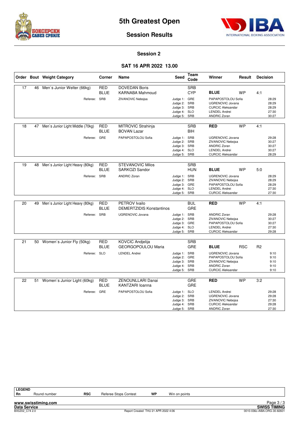



**Session Results**

#### **Session 2**

#### **SAT 16 APR 2022 13.00**

|    |    | Order Bout Weight Category       | Corner                    | Name                                             | Seed                                                                         | Team<br>Code             | Winner                                                                                                                        | Result     | <b>Decision</b> |                                           |
|----|----|----------------------------------|---------------------------|--------------------------------------------------|------------------------------------------------------------------------------|--------------------------|-------------------------------------------------------------------------------------------------------------------------------|------------|-----------------|-------------------------------------------|
| 17 | 46 | Men's Junior Welter (66kg)       | <b>RED</b><br><b>BLUE</b> | <b>DOVEDAN Boris</b><br><b>KARNABA Mahmoud</b>   |                                                                              | <b>SRB</b><br><b>CYP</b> | <b>BLUE</b>                                                                                                                   | <b>WP</b>  | 4:1             |                                           |
|    |    | Referee:                         | SRB                       | ZIVANOVIC Nebojsa                                | Judge 1: GRE<br>Judge 2:<br>Judge 3: SRB<br>Judge 4: SLO<br>Judge 5:         | SRB<br>SRB               | PAPAPOSTOLOU Sofia<br><b>UGRENOVIC Jovana</b><br><b>CURCIC Aleksandar</b><br><b>LENDEL Andrei</b><br><b>ANDRIC Zoran</b>      |            |                 | 28:29<br>28:29<br>28:29<br>27:30<br>30:27 |
| 18 | 47 | Men's Junior Light Middle (70kg) | <b>RED</b><br><b>BLUE</b> | MITROVIC Strahinja<br><b>BOVAN Lazar</b>         |                                                                              | <b>SRB</b><br>BIH        | <b>RED</b>                                                                                                                    | <b>WP</b>  | 4:1             |                                           |
|    |    | Referee: GRE                     |                           | PAPAPOSTOLOU Sofia                               | Judge 1: SRB<br>Judge 2: SRB<br>Judge 3: SRB<br>Judge 4: SLO<br>Judge 5:     | SRB                      | <b>UGRENOVIC Jovana</b><br>ZIVANOVIC Nebojsa<br><b>ANDRIC Zoran</b><br><b>LENDEL Andrei</b><br><b>CURCIC Aleksandar</b>       |            |                 | 29:28<br>30:27<br>30:27<br>30:27<br>28:29 |
| 19 | 48 | Men's Junior Light Heavy (80kg)  | <b>RED</b><br><b>BLUE</b> | <b>STEVANOVIC Milos</b><br>SARKOZI Sandor        |                                                                              | <b>SRB</b><br>HUN        | <b>BLUE</b>                                                                                                                   | <b>WP</b>  | 5:0             |                                           |
|    |    | Referee: SRB                     |                           | <b>ANDRIC Zoran</b>                              | Judge 1: SRB<br>Judge 2:<br>Judge 3: GRE<br>Judge 4:<br>Judge 5:             | SRB<br><b>SLO</b><br>SRB | <b>UGRENOVIC Jovana</b><br><b>ZIVANOVIC Nebojsa</b><br>PAPAPOSTOLOU Sofia<br><b>LENDEL Andrei</b><br><b>CURCIC Aleksandar</b> |            |                 | 28:29<br>28:29<br>28:29<br>27:30<br>27:30 |
| 20 | 49 | Men's Junior Light Heavy (80kg)  | <b>RED</b><br><b>BLUE</b> | PETROV Ivailo<br><b>DEMERTZIDIS Konstantinos</b> |                                                                              | <b>BUL</b><br><b>GRE</b> | <b>RED</b>                                                                                                                    | <b>WP</b>  | 4:1             |                                           |
|    |    | Referee: SRB                     |                           | <b>UGRENOVIC Jovana</b>                          | Judge 1: SRB<br>Judge 2: SRB<br>Judge 3: GRE<br>Judge 4: SLO<br>Judge 5: SRB |                          | <b>ANDRIC Zoran</b><br>ZIVANOVIC Nebojsa<br>PAPAPOSTOLOU Sofia<br><b>LENDEL Andrei</b><br><b>CURCIC Aleksandar</b>            |            |                 | 29:28<br>30:27<br>30:27<br>27:30<br>29:28 |
| 21 |    | 50 Women's Junior Fly (50kg)     | <b>RED</b><br><b>BLUE</b> | KOVCIC Andjelija<br><b>GEORGOPOULOU Maria</b>    |                                                                              | <b>SRB</b><br><b>GRE</b> | <b>BLUE</b>                                                                                                                   | <b>RSC</b> | R <sub>2</sub>  |                                           |
|    |    | Referee: SLO                     |                           | <b>LENDEL Andrei</b>                             | Judge 1: SRB<br>Judge 2:<br>Judge 3: SRB<br>Judge 4:<br>Judge 5: SRB         | GRE<br>SRB               | <b>UGRENOVIC Jovana</b><br>PAPAPOSTOLOU Sofia<br>ZIVANOVIC Nebojsa<br><b>ANDRIC Zoran</b><br><b>CURCIC Aleksandar</b>         |            |                 | 9:10<br>9:10<br>9:10<br>9:10<br>9:10      |
| 22 | 51 | Women's Junior Light (60kg)      | <b>RED</b><br><b>BLUE</b> | ZENOUNLLARI Danai<br>KANTZARI loanna             |                                                                              | GRE<br><b>GRE</b>        | <b>RED</b>                                                                                                                    | <b>WP</b>  | 3:2             |                                           |
|    |    | Referee: GRE                     |                           | PAPAPOSTOLOU Sofia                               | Judge 1: SLO<br>Judge 2:<br>Judge 3:<br>Judge 4:<br>Judge 5: SRB             | SRB<br>SRB<br>SRB        | <b>LENDEL Andrei</b><br>UGRENOVIC Jovana<br>ZIVANOVIC Nebojsa<br><b>CURCIC Aleksandar</b><br><b>ANDRIC Zoran</b>              |            |                 | 29:28<br>29:28<br>27:30<br>29:28<br>27:30 |

**www.swisstiming.com**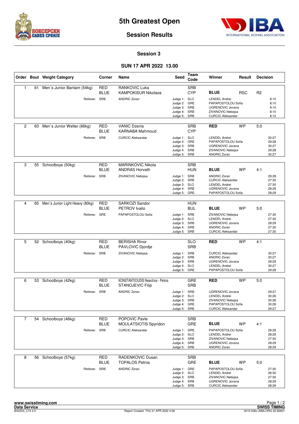



#### **Session 3**

#### **SUN 17 APR 2022 13.00**

|                |    | Order Bout Weight Category      | Corner                    | Name                                                               | <b>Seed</b>                                                                  | Team<br>Code             | Winner                                                                                                                         | Result     | <b>Decision</b> |                                           |
|----------------|----|---------------------------------|---------------------------|--------------------------------------------------------------------|------------------------------------------------------------------------------|--------------------------|--------------------------------------------------------------------------------------------------------------------------------|------------|-----------------|-------------------------------------------|
| 1              | 61 | Men's Junior Bantam (54kg)      | <b>RED</b><br><b>BLUE</b> | <b>RANKOVIC Luka</b><br><b>KAMPOKISUR Nikolaos</b>                 |                                                                              | <b>SRB</b><br><b>CYP</b> | <b>BLUE</b>                                                                                                                    | <b>RSC</b> | R <sub>2</sub>  |                                           |
|                |    | Referee: SRB                    |                           | <b>ANDRIC Zoran</b>                                                | Judge 1: SLO<br>Judge 2: GRE<br>Judge 3:<br>Judge 4: SRB<br>Judge 5: SRB     | SRB                      | <b>LENDEL Andrei</b><br>PAPAPOSTOLOU Sofia<br><b>UGRENOVIC Jovana</b><br>ZIVANOVIC Nebojsa<br><b>CURCIC Aleksandar</b>         |            |                 | 8:10<br>8:10<br>9:10<br>8:10<br>8:10      |
| $\overline{2}$ | 63 | Men's Junior Welter (66kg)      | RED<br><b>BLUE</b>        | <b>VANIC Dzenis</b><br><b>KARNABA Mahmoud</b>                      |                                                                              | <b>SRB</b><br><b>CYP</b> | <b>RED</b>                                                                                                                     | <b>WP</b>  | 5:0             |                                           |
|                |    | Referee: SRB                    |                           | <b>CURCIC Aleksandar</b>                                           | Judge 1: SLO<br>Judge 2: GRE<br>Judge 3: SRB<br>Judge 4: SRB<br>Judge 5: SRB |                          | <b>LENDEL Andrei</b><br>PAPAPOSTOLOU Sofia<br><b>UGRENOVIC Jovana</b><br>ZIVANOVIC Nebojsa<br><b>ANDRIC Zoran</b>              |            |                 | 30:27<br>29:28<br>30:27<br>29:28<br>30:27 |
| 3              |    | 55 Schoolboys (50kg)            | <b>RED</b><br><b>BLUE</b> | <b>MARINKOVIC Nikola</b><br><b>ANDRAS Horvath</b>                  |                                                                              | <b>SRB</b><br><b>HUN</b> | <b>BLUE</b>                                                                                                                    | <b>WP</b>  | 4:1             |                                           |
|                |    | Referee:                        | <b>SRB</b>                | ZIVANOVIC Nebojsa                                                  | Judge 1: SRB<br>Judge 2: SRB<br>Judge 3: SLO<br>Judge 4: SRB<br>Judge 5:     | GRE                      | <b>ANDRIC Zoran</b><br><b>CURCIC Aleksandar</b><br><b>LENDEL Andrei</b><br>UGRENOVIC Jovana<br>PAPAPOSTOLOU Sofia              |            |                 | 29:28<br>27:30<br>27:30<br>28:29<br>28:29 |
| $\overline{4}$ | 65 | Men's Junior Light Heavy (80kg) | RED                       | SARKOZI Sandor                                                     |                                                                              | <b>HUN</b>               |                                                                                                                                |            |                 |                                           |
|                |    |                                 | BLUE                      | <b>PETROV</b> Ivailo                                               |                                                                              | <b>BUL</b>               | <b>BLUE</b>                                                                                                                    | <b>WP</b>  | 5.0             |                                           |
|                |    | Referee: GRE                    |                           | PAPAPOSTOLOU Sofia                                                 | Judge 1: SRB<br>Judge 2: SLO<br>Judge 3: SRB<br>Judge 4: SRB<br>Judge 5: SRB |                          | ZIVANOVIC Nebojsa<br><b>LENDEL Andrei</b><br><b>UGRENOVIC Jovana</b><br><b>ANDRIC Zoran</b><br><b>CURCIC Aleksandar</b>        |            |                 | 27:30<br>27:30<br>28:29<br>27:30<br>27:30 |
|                |    |                                 |                           |                                                                    |                                                                              |                          |                                                                                                                                |            |                 |                                           |
| 5              | 52 | Schoolboys (40kg)               | <b>RED</b><br><b>BLUE</b> | <b>BERISHA Rinor</b><br>PAVLOVIC Djordje                           |                                                                              | <b>SLO</b><br><b>SRB</b> | <b>RED</b>                                                                                                                     | <b>WP</b>  | 4:1             |                                           |
|                |    | Referee: SRB                    |                           | ZIVANOVIC Nebojsa                                                  | Judge 1: SRB<br>Judge 2: SRB<br>Judge 3: SRB<br>Judge 4: SLO<br>Judge 5: GRE |                          | <b>CURCIC Aleksandar</b><br><b>ANDRIC Zoran</b><br><b>UGRENOVIC Jovana</b><br><b>LENDEL Andrei</b><br>PAPAPOSTOLOU Sofia       |            |                 | 30:27<br>30:27<br>28:29<br>30:27<br>29:28 |
| 6              | 53 | Schoolboys (42kg)               | RED<br><b>BLUE</b>        | <b>KONSTANTIOUDIS Nearchos - Petros</b><br><b>STANOJEVIC Filip</b> |                                                                              | GRE<br><b>SRB</b>        | <b>RED</b>                                                                                                                     | <b>WP</b>  | 5:0             |                                           |
|                |    | Referee: SRB                    |                           | <b>ANDRIC Zoran</b>                                                | Judge 1: SRB<br>Judge 2: SLO<br>Judge 3: SRB<br>Judge 4: GRE<br>Judge 5: SRB |                          | <b>UGRENOVIC Jovana</b><br><b>LENDEL Andrei</b><br>ZIVANOVIC Nebojsa<br>PAPAPOSTOLOU Sofia<br><b>CURCIC Aleksandar</b>         |            |                 | 29:27<br>30:26<br>30:26<br>30:26<br>29:27 |
| $\overline{7}$ |    | 54 Schoolboys (46kg)            | <b>RED</b>                | POPOVIC Pavle                                                      |                                                                              | <b>SRB</b>               |                                                                                                                                |            |                 |                                           |
|                |    |                                 | <b>BLUE</b>               | MOULATSIOTIS Spyridon                                              |                                                                              | GRE                      | <b>BLUE</b>                                                                                                                    | WP         | 4:1             |                                           |
|                |    | Referee:                        | SRB                       | <b>CURCIC Aleksandar</b>                                           | Judge 1: GRE<br>Judge 2: SLO<br>Judge 3: SRB<br>Judge 4: SRB<br>Judge 5: SRB |                          | PAPAPOSTOLOU Sofia<br><b>LENDEL Andrei</b><br>ZIVANOVIC Nebojsa<br>UGRENOVIC Jovana<br><b>ANDRIC Zoran</b>                     |            |                 | 29:28<br>28:29<br>27:30<br>28:29<br>28:29 |
| 8              | 56 | Schoolboys (57kg)               | <b>RED</b>                | <b>RADENKOVIC Dusan</b>                                            |                                                                              | <b>SRB</b>               |                                                                                                                                |            |                 |                                           |
|                |    | Referee: SRB                    | BLUE                      | <b>TOPALOS Petros</b><br><b>ANDRIC Zoran</b>                       | Judge 1: GRE<br>Judge 2: SLO<br>Judge 3: SRB<br>Judge 4: SRB<br>Judge 5: SRB | GRE                      | <b>BLUE</b><br>PAPAPOSTOLOU Sofia<br><b>LENDEL Andrei</b><br>ZIVANOVIC Nebojsa<br>UGRENOVIC Jovana<br><b>CURCIC Aleksandar</b> | WP         | 5:0             | 27:30<br>26:30<br>27:30<br>28:29<br>28:29 |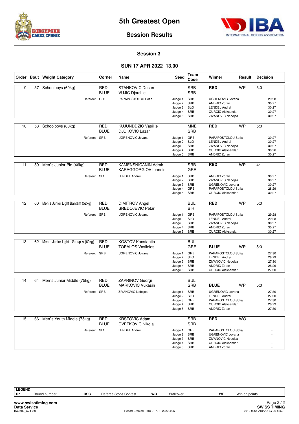



#### **Session 3**

#### **SUN 17 APR 2022 13.00**

|    |    | Order Bout Weight Category          | Corner                    | Name                                                      | Seed                                                                         | Team<br>Code             | Winner                                                                                                                   | Result    | <b>Decision</b> |                                           |
|----|----|-------------------------------------|---------------------------|-----------------------------------------------------------|------------------------------------------------------------------------------|--------------------------|--------------------------------------------------------------------------------------------------------------------------|-----------|-----------------|-------------------------------------------|
| 9  | 57 | Schoolboys (60kg)                   | <b>RED</b><br><b>BLUE</b> | <b>STANKOVIC Dusan</b><br><b>VUJIC Djordjije</b>          |                                                                              | <b>SRB</b><br><b>SRB</b> | <b>RED</b>                                                                                                               | <b>WP</b> | 5:0             |                                           |
|    |    | Referee:                            | GRE                       | PAPAPOSTOLOU Sofia                                        | Judge 1: SRB<br>Judge 2:<br>Judge 3: SLO<br>Judge 4: SRB<br>Judge 5: SRB     | SRB                      | <b>UGRENOVIC Jovana</b><br><b>ANDRIC Zoran</b><br><b>LENDEL Andrei</b><br><b>CURCIC Aleksandar</b><br>ZIVANOVIC Nebojsa  |           |                 | 29:28<br>30:27<br>30:27<br>30:27<br>30:27 |
| 10 | 58 | Schoolboys (80kg)                   | <b>RED</b><br><b>BLUE</b> | KUJUNDDZIC Vasilije<br><b>DJOKOVIC Lazar</b>              |                                                                              | <b>MNE</b><br><b>SRB</b> | <b>RED</b>                                                                                                               | <b>WP</b> | 5:0             |                                           |
|    |    | Referee: SRB                        |                           | <b>UGRENOVIC Jovana</b>                                   | Judge 1: GRE<br>Judge 2: SLO<br>Judge 3: SRB<br>Judge 4: SRB<br>Judge 5:     | SRB                      | PAPAPOSTOLOU Sofia<br><b>LENDEL Andrei</b><br>ZIVANOVIC Nebojsa<br><b>CURCIC Aleksandar</b><br><b>ANDRIC Zoran</b>       |           |                 | 30:27<br>30:27<br>30:27<br>30:26<br>30:27 |
| 11 | 59 | Men's Junior Pin (46kg)             | <b>RED</b><br><b>BLUE</b> | <b>KAMENSNICANIN Admir</b><br><b>KARAGGORGIOV loannis</b> |                                                                              | <b>SRB</b><br>GRE        | <b>RED</b>                                                                                                               | <b>WP</b> | 4:1             |                                           |
|    |    | Referee: SLO                        |                           | <b>LENDEL Andrei</b>                                      | Judge 1: SRB<br>Judge 2: SRB<br>Judge 3: SRB<br>Judge 4: GRE<br>Judge 5:     | SRB                      | <b>ANDRIC Zoran</b><br>ZIVANOVIC Nebojsa<br><b>UGRENOVIC Jovana</b><br>PAPAPOSTOLOU Sofia<br><b>CURCIC Aleksandar</b>    |           |                 | 30:27<br>30:27<br>30:27<br>28:29<br>30:27 |
| 12 | 60 | Men's Junior Light Bantam (52kg)    | <b>RED</b>                | <b>DIMITROV Angel</b>                                     |                                                                              | <b>BUL</b>               | <b>RED</b>                                                                                                               | <b>WP</b> | 5:0             |                                           |
|    |    |                                     | <b>BLUE</b>               | <b>SREDOJEVIC Petar</b>                                   |                                                                              | <b>BIH</b>               |                                                                                                                          |           |                 |                                           |
|    |    | Referee: SRB                        |                           | <b>UGRENOVIC Jovana</b>                                   | Judge 1: GRE<br>Judge 2: SLO<br>Judge 3: SRB<br>Judge 4: SRB<br>Judge 5: SRB |                          | PAPAPOSTOLOU Sofia<br><b>LENDEL Andrei</b><br>ZIVANOVIC Nebojsa<br><b>ANDRIC Zoran</b><br><b>CURCIC Aleksandar</b>       |           |                 | 29:28<br>29:28<br>30:27<br>30:27<br>30:27 |
| 13 | 62 | Men's Junior Light - Group A (60kg) | <b>RED</b><br><b>BLUE</b> | <b>KOSTOV Konstantin</b><br><b>TOPALOS Vasileios</b>      |                                                                              | <b>BUL</b><br>GRE        | <b>BLUE</b>                                                                                                              | <b>WP</b> | 5:0             |                                           |
|    |    | Referee: SRB                        |                           | <b>UGRENOVIC Jovana</b>                                   | Judge 1: GRE<br>Judge 2: SLO<br>Judge 3: SRB<br>Judge 4: SRB<br>Judge 5: SRB |                          | PAPAPOSTOLOU Sofia<br><b>LENDEL Andrei</b><br>ZIVANOVIC Nebojsa<br><b>ANDRIC Zoran</b><br><b>CURCIC Aleksandar</b>       |           |                 | 27:30<br>28:29<br>27:30<br>28:29<br>27:30 |
| 14 | 64 | Men's Junior Middle (75kg)          | <b>RED</b>                | <b>ZAPRINOV Georgi</b>                                    |                                                                              | <b>BUL</b>               |                                                                                                                          |           |                 |                                           |
|    |    |                                     | <b>BLUE</b>               | <b>MARKOVIC Vukasin</b>                                   |                                                                              | <b>SRB</b>               | <b>BLUE</b>                                                                                                              | <b>WP</b> | 5:0             |                                           |
|    |    | Referee: SRB                        |                           | ZIVANOVIC Nebojsa                                         | Judge 1: SRB<br>Judge 2: SLO<br>Judge 3: GRE<br>Judge 4: SRB<br>Judge 5: SRB |                          | <b>UGRENOVIC Jovana</b><br><b>LENDEL Andrei</b><br>PAPAPOSTOLOU Sofia<br><b>CURCIC Aleksandar</b><br><b>ANDRIC Zoran</b> |           |                 | 27:30<br>27:30<br>27:30<br>28:29<br>27:30 |
| 15 | 66 | Men's Youth Middle (75kg)           | <b>RED</b><br><b>BLUE</b> | <b>KRSTOVIC Adam</b><br><b>CVETKOVIC Nikola</b>           |                                                                              | <b>SRB</b><br><b>SRB</b> | <b>RED</b>                                                                                                               | <b>WO</b> |                 |                                           |
|    |    | Referee: SLO                        |                           | <b>LENDEL Andrei</b>                                      | Judge 1: GRE<br>Judge 2: SRB<br>Judge 3: SRB<br>Judge 4: SRB<br>Judge 5: SRB |                          | PAPAPOSTOLOU Sofia<br>UGRENOVIC Jovana<br>ZIVANOVIC Nebojsa<br><b>CURCIC Aleksandar</b><br><b>ANDRIC Zoran</b>           |           |                 |                                           |

| $\overline{\phantom{a}}$ | ÷<br>. .<br>י |  |
|--------------------------|---------------|--|
|                          |               |  |

**RSC** Referee Stops Contest **WO** Walkover **WP** Win on points

Page 2/2

**www.swisstiming.com**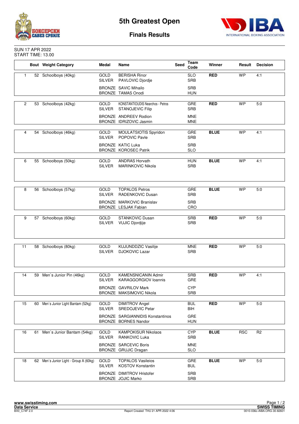



#### **Finals Results**

#### SUN 17 APR 2022 START TIME: 13.00

|                |    | <b>Bout</b> Weight Category            | Medal                        | Name                                                               | Seed | Team<br>Code             | Winner      | Result     | <b>Decision</b> |
|----------------|----|----------------------------------------|------------------------------|--------------------------------------------------------------------|------|--------------------------|-------------|------------|-----------------|
| $\mathbf{1}$   |    | 52 Schoolboys (40kg)                   | GOLD<br>SILVER               | <b>BERISHA Rinor</b><br>PAVLOVIC Djordje                           |      | <b>SLO</b><br><b>SRB</b> | <b>RED</b>  | <b>WP</b>  | 4:1             |
|                |    |                                        |                              | <b>BRONZE SAVIC Mihailo</b><br><b>BRONZE TAMAS Onodi</b>           |      | <b>SRB</b><br><b>HUN</b> |             |            |                 |
|                |    |                                        |                              |                                                                    |      |                          |             |            |                 |
| $\overline{2}$ |    | 53 Schoolboys (42kg)                   | <b>GOLD</b><br><b>SILVER</b> | <b>KONSTANTIOUDIS Nearchos - Petros</b><br><b>STANOJEVIC Filip</b> |      | GRE<br><b>SRB</b>        | <b>RED</b>  | <b>WP</b>  | 5.0             |
|                |    |                                        |                              | BRONZE ANDREEV Rodion<br>BRONZE IDRIZOVIC Jasmin                   |      | <b>MNE</b><br><b>MNE</b> |             |            |                 |
|                |    |                                        |                              |                                                                    |      |                          |             |            |                 |
| 4              | 54 | Schoolboys (46kg)                      | GOLD<br><b>SILVER</b>        | MOULATSIOTIS Spyridon<br>POPOVIC Pavle                             |      | GRE<br><b>SRB</b>        | <b>BLUE</b> | <b>WP</b>  | 4:1             |
|                |    |                                        |                              | <b>BRONZE KATIC Luka</b><br><b>BRONZE KOROSEC Patrik</b>           |      | <b>SRB</b><br><b>SLO</b> |             |            |                 |
|                |    |                                        |                              |                                                                    |      |                          |             |            |                 |
| 6              |    | 55 Schoolboys (50kg)                   | <b>GOLD</b><br><b>SILVER</b> | <b>ANDRAS Horvath</b><br><b>MARINKOVIC Nikola</b>                  |      | <b>HUN</b><br><b>SRB</b> | <b>BLUE</b> | <b>WP</b>  | 4:1             |
|                |    |                                        |                              |                                                                    |      |                          |             |            |                 |
|                |    |                                        |                              |                                                                    |      |                          |             |            |                 |
| 8              |    | 56 Schoolboys (57kg)                   | <b>GOLD</b><br><b>SILVER</b> | <b>TOPALOS Petros</b><br>RADENKOVIC Dusan                          |      | <b>GRE</b><br><b>SRB</b> | <b>BLUE</b> | <b>WP</b>  | 5.0             |
|                |    |                                        |                              | BRONZE MARKOVIC Branislav                                          |      | <b>SRB</b>               |             |            |                 |
|                |    |                                        |                              | BRONZE LESJAK Fabian                                               |      | CRO                      |             |            |                 |
|                |    |                                        |                              |                                                                    |      |                          | <b>RED</b>  | <b>WP</b>  |                 |
| 9              |    | 57 Schoolboys (60kg)                   | GOLD<br>SILVER               | STANKOVIC Dusan<br><b>VUJIC Djordjije</b>                          |      | <b>SRB</b><br><b>SRB</b> |             |            | 5.0             |
|                |    |                                        |                              |                                                                    |      |                          |             |            |                 |
|                |    |                                        |                              |                                                                    |      |                          |             |            |                 |
| 11             |    | 58 Schoolboys (80kg)                   | GOLD<br><b>SILVER</b>        | <b>KUJUNDDZIC Vasilije</b><br><b>DJOKOVIC Lazar</b>                |      | <b>MNE</b><br><b>SRB</b> | <b>RED</b>  | <b>WP</b>  | 5.0             |
|                |    |                                        |                              |                                                                    |      |                          |             |            |                 |
|                |    |                                        |                              |                                                                    |      |                          |             |            |                 |
| 14             | 59 | Men's Junior Pin (46kg)                | GOLD                         | <b>KAMENSNICANIN Admir</b>                                         |      | <b>SRB</b>               | <b>RED</b>  | <b>WP</b>  | 4:1             |
|                |    |                                        | <b>SILVER</b>                | <b>KARAGGORGIOV loannis</b>                                        |      | GRE                      |             |            |                 |
|                |    |                                        |                              | <b>BRONZE GAVRILOV Mark</b>                                        |      | <b>CYP</b>               |             |            |                 |
|                |    |                                        |                              | BRONZE MAKSIMOVIC Nikola                                           |      | <b>SRB</b>               |             |            |                 |
| 15             |    | 60 Men's Junior Light Bantam (52kg)    | GOLD                         | <b>DIMITROV Angel</b>                                              |      | <b>BUL</b>               | <b>RED</b>  | <b>WP</b>  | 5:0             |
|                |    |                                        | <b>SILVER</b>                | <b>SREDOJEVIC Petar</b>                                            |      | BIH                      |             |            |                 |
|                |    |                                        |                              | <b>BRONZE SARGIANNIDIS Konstantinos</b><br>BRONZE BORNES Nandor    |      | GRE<br><b>HUN</b>        |             |            |                 |
|                |    |                                        |                              |                                                                    |      |                          |             |            |                 |
| 16             | 61 | Men's Junior Bantam (54kg)             | GOLD<br><b>SILVER</b>        | <b>KAMPOKISUR Nikolaos</b><br><b>RANKOVIC Luka</b>                 |      | <b>CYP</b><br><b>SRB</b> | <b>BLUE</b> | <b>RSC</b> | R <sub>2</sub>  |
|                |    |                                        |                              | <b>BRONZE SARCEVIC Boris</b>                                       |      | <b>MNE</b>               |             |            |                 |
|                |    |                                        |                              | BRONZE GRUJIC Dragan                                               |      | <b>SLO</b>               |             |            |                 |
| 18             |    | 62 Men's Junior Light - Group A (60kg) | GOLD                         | <b>TOPALOS Vasileios</b>                                           |      | GRE                      | <b>BLUE</b> | <b>WP</b>  | 5:0             |
|                |    |                                        | <b>SILVER</b>                | <b>KOSTOV Konstantin</b>                                           |      | <b>BUL</b>               |             |            |                 |
|                |    |                                        |                              | <b>BRONZE DIMITROV Hristofer</b>                                   |      | SRB                      |             |            |                 |
|                |    |                                        |                              | BRONZE JOJIC Marko                                                 |      | <b>SRB</b>               |             |            |                 |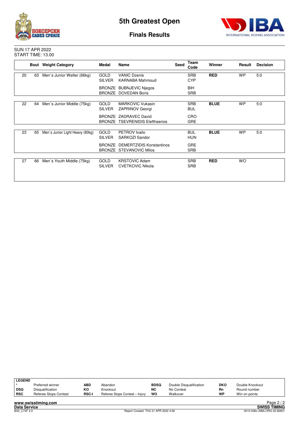



**Finals Results**

SUN 17 APR 2022 START TIME: 13.00

|    |    | <b>Bout</b> Weight Category     | Medal                        | Name                                                            | <b>Seed</b> | Team<br>Code             | Winner      | Result    | <b>Decision</b> |
|----|----|---------------------------------|------------------------------|-----------------------------------------------------------------|-------------|--------------------------|-------------|-----------|-----------------|
| 20 | 63 | Men's Junior Welter (66kg)      | <b>GOLD</b><br><b>SILVER</b> | <b>VANIC Dzenis</b><br><b>KARNABA Mahmoud</b>                   |             | <b>SRB</b><br><b>CYP</b> | <b>RED</b>  | <b>WP</b> | 5.0             |
|    |    |                                 |                              | <b>BRONZE BUBNJEVIC Niegos</b><br>BRONZE DOVEDAN Boris          |             | <b>BIH</b><br><b>SRB</b> |             |           |                 |
| 22 | 64 | Men's Junior Middle (75kg)      | <b>GOLD</b><br><b>SILVER</b> | <b>MARKOVIC Vukasin</b><br><b>ZAPRINOV Georgi</b>               |             | <b>SRB</b><br><b>BUL</b> | <b>BLUE</b> | <b>WP</b> | 5:0             |
|    |    |                                 |                              | BRONZE ZADRAVEC David<br><b>BRONZE TSEVRENIDIS Eleftheerios</b> |             | CRO<br><b>GRE</b>        |             |           |                 |
| 23 | 65 | Men's Junior Light Heavy (80kg) | <b>GOLD</b><br><b>SILVER</b> | PETROV Ivailo<br>SARKOZI Sandor                                 |             | <b>BUL</b><br>HUN        | <b>BLUE</b> | <b>WP</b> | 5:0             |
|    |    |                                 |                              | BRONZE DEMERTZIDIS Konstantinos<br>BRONZE STEVANOVIC Milos      |             | <b>GRE</b><br><b>SRB</b> |             |           |                 |
| 27 | 66 | Men's Youth Middle (75kg)       | <b>GOLD</b><br><b>SILVER</b> | <b>KRSTOVIC Adam</b><br><b>CVETKOVIC Nikola</b>                 |             | <b>SRB</b><br><b>SRB</b> | <b>RED</b>  | <b>WO</b> |                 |

| <b>LEGEND</b> |                       |              |                                |             |                         |            |                 |                          |               |
|---------------|-----------------------|--------------|--------------------------------|-------------|-------------------------|------------|-----------------|--------------------------|---------------|
|               | Preferred winner      | ABD          | Abandon                        | <b>BDSQ</b> | Double Disqualification | <b>DKO</b> | Double Knockout |                          |               |
| ∣ DSQ         | Disqualification      | КO           | Knockout                       | <b>NC</b>   | No Contest              | Rn         | Round number    |                          |               |
| ∣ RSC         | Referee Stops Contest | <b>RSC-I</b> | Referee Stops Contest - Injury | WO          | Walkover                | WP         | Win on points   |                          |               |
|               |                       |              |                                |             |                         |            |                 | $\overline{\phantom{0}}$ | $\sim$ $\sim$ |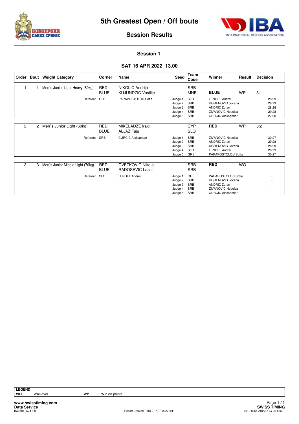



#### **Session 1**

#### **SAT 16 APR 2022 13.00**

| Order |   | <b>Bout</b> Weight Category      | Corner                    | Name                                         | Seed                                                         | Team<br>Code                           | Winner                                                                                                                       | Result    | <b>Decision</b>                           |
|-------|---|----------------------------------|---------------------------|----------------------------------------------|--------------------------------------------------------------|----------------------------------------|------------------------------------------------------------------------------------------------------------------------------|-----------|-------------------------------------------|
|       |   | Men's Junior Light Heavy (80kg)  | RED<br><b>BLUE</b>        | NIKOLIC Andrija<br><b>KUJUNDZIC Vasilije</b> |                                                              | <b>SRB</b><br><b>MNE</b>               | <b>BLUE</b>                                                                                                                  | <b>WP</b> | 3:1                                       |
|       |   | Referee:                         | GRE                       | PAPAPOSTOLOU Sofia                           | Judge 1:<br>Judge 2:<br>Judge 3:<br>Judge 4:<br>Judge 5:     | <b>SLO</b><br>SRB<br>SRB<br>SRB<br>SRB | <b>LENDEL Andrei</b><br><b>UGRENOVIC Jovana</b><br><b>ANDRIC Zoran</b><br>ZIVANOVIC Nebojsa<br><b>CURCIC Aleksandar</b>      |           | 28:29<br>28:29<br>28:28<br>29:28<br>27:30 |
| 2     | 2 | Men's Junior Light (60kg)        | RED<br><b>BLUE</b>        | MIKELADZE Irakli<br>ALJAZ Fajs               |                                                              | <b>CYP</b><br><b>SLO</b>               | <b>RED</b>                                                                                                                   | <b>WP</b> | 3:2                                       |
|       |   | Referee:                         | SRB                       | <b>CURCIC Aleksandar</b>                     | Judge 1:<br>Judge 2:<br>Judge 3:<br>Judge 4:<br>Judge 5:     | SRB<br>SRB<br>SRB<br><b>SLO</b><br>GRE | ZIVANOVIC Nebojsa<br><b>ANDRIC Zoran</b><br><b>UGRENOVIC Jovana</b><br><b>LENDEL Andrei</b><br>PAPAPOSTOLOU Sofia            |           | 30:27<br>29:28<br>28:29<br>28:29<br>30:27 |
| 3     | 3 | Men's Junior Middle Light (70kg) | <b>RED</b><br><b>BLUE</b> | <b>CVETKOVIC Nikola</b><br>RADOSEVIC Lazar   |                                                              | <b>SRB</b><br><b>SRB</b>               | <b>RED</b>                                                                                                                   | <b>WO</b> |                                           |
|       |   | Referee:                         | <b>SLO</b>                | <b>LENDEL Andrei</b>                         | Judge 1:<br>Judge 2:<br>Judge 3:<br>Judge 4:<br>Judge 5: SRB | GRE<br>SRB<br>SRB<br>SRB               | PAPAPOSTOLOU Sofia<br><b>UGRENOVIC Jovana</b><br><b>ANDRIC Zoran</b><br><b>ZIVANOVIC Nebojsa</b><br><b>CURCIC Aleksandar</b> |           |                                           |

**www.swisstiming.com Data Service SWISS TIMING**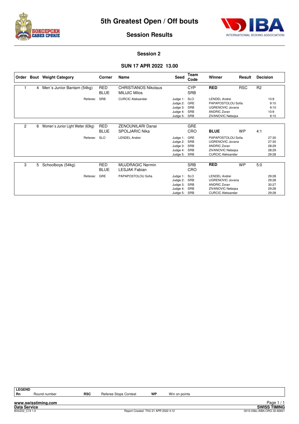



#### **Session 2**

#### **SUN 17 APR 2022 13.00**

| Order |   | <b>Bout</b> Weight Category                             | Corner                    | Name                                                | Seed                                                     | Team<br>Code                           | Winner                                                                                                                         | Result     | <b>Decision</b> |                                           |
|-------|---|---------------------------------------------------------|---------------------------|-----------------------------------------------------|----------------------------------------------------------|----------------------------------------|--------------------------------------------------------------------------------------------------------------------------------|------------|-----------------|-------------------------------------------|
|       | 4 | <b>RED</b><br>Men's Junior Bantam (54kg)<br><b>BLUE</b> |                           | <b>CHRISTIANOS Nikolaus</b><br><b>MILIJIC Milos</b> |                                                          | <b>CYP</b><br><b>SRB</b>               | <b>RED</b>                                                                                                                     | <b>RSC</b> | R <sub>2</sub>  |                                           |
|       |   | SRB<br>Referee:                                         |                           | <b>CURCIC Aleksandar</b>                            | Judge 1:<br>Judge 2:<br>Judge 3:<br>Judge 4:<br>Judge 5: | <b>SLO</b><br>GRE<br>SRB<br>SRB<br>SRB | <b>LENDEL Andrei</b><br>PAPAPOSTOLOU Sofia<br><b>UGRENOVIC Jovana</b><br><b>ANDRIC Zoran</b><br><b>ZIVANOVIC Nebojsa</b>       |            |                 | 10:9<br>9:10<br>9:10<br>10:9<br>9:10      |
| 2     | 6 | Women's Junior Light Welter (63kg)                      | <b>RED</b><br><b>BLUE</b> | <b>ZENOUNILARI Danai</b><br><b>SPOLJARIC Nika</b>   |                                                          | <b>GRE</b><br>CRO                      | <b>BLUE</b>                                                                                                                    | <b>WP</b>  | 4:1             |                                           |
|       |   | Referee:                                                | <b>SLO</b>                | <b>LENDEL Andrei</b>                                | Judge 1:<br>Judge 2:<br>Judge 3:<br>Judge 4:<br>Judge 5: | GRE<br>SRB<br>SRB<br>SRB<br>SRB        | PAPAPOSTOLOU Sofia<br><b>UGRENOVIC Jovana</b><br><b>ANDRIC Zoran</b><br><b>ZIVANOVIC Nebojsa</b><br><b>CURCIC Aleksandar</b>   |            |                 | 27:30<br>27:30<br>28:29<br>28:29<br>29:28 |
| 3     | 5 | Schoolboys (54kg)                                       | <b>RED</b><br><b>BLUE</b> | <b>MUJDRAGIC Nermin</b><br><b>LESJAK Fabian</b>     |                                                          | <b>SRB</b><br>CRO                      | <b>RED</b>                                                                                                                     | <b>WP</b>  | 5.0             |                                           |
|       |   | Referee:                                                | GRE                       | PAPAPOSTOLOU Sofia                                  | Judge 1:<br>Judge 2:<br>Judge 3:<br>Judge 4:<br>Judge 5: | <b>SLO</b><br>SRB<br>SRB<br>SRB<br>SRB | <b>LENDEL Andrei</b><br><b>UGRENOVIC Jovana</b><br><b>ANDRIC Zoran</b><br><b>ZIVANOVIC Nebojsa</b><br><b>CURCIC Aleksandar</b> |            |                 | 29:28<br>29:28<br>30:27<br>29:28<br>29:28 |

**LEGEND**

**www.swisstiming.com**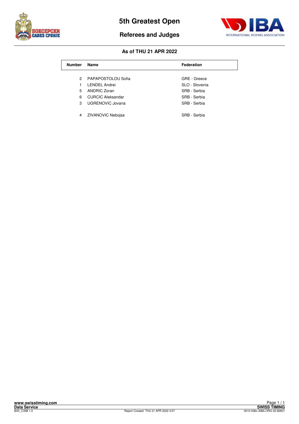

**Referees and Judges**



| <b>Number</b> | Name                     | <b>Federation</b> |  |  |  |  |  |
|---------------|--------------------------|-------------------|--|--|--|--|--|
|               |                          |                   |  |  |  |  |  |
| $\mathcal{P}$ | PAPAPOSTOLOU Sofia       | GRE - Greece      |  |  |  |  |  |
|               | <b>LENDEL Andrei</b>     | SLO - Slovenia    |  |  |  |  |  |
| 5             | <b>ANDRIC Zoran</b>      | SRB - Serbia      |  |  |  |  |  |
| 6             | <b>CURCIC Aleksandar</b> | SRB - Serbia      |  |  |  |  |  |
| 3             | UGRENOVIC Jovana         | SRB - Serbia      |  |  |  |  |  |
|               |                          |                   |  |  |  |  |  |
| 4             | <b>ZIVANOVIC Nebojsa</b> | SRB - Serbia      |  |  |  |  |  |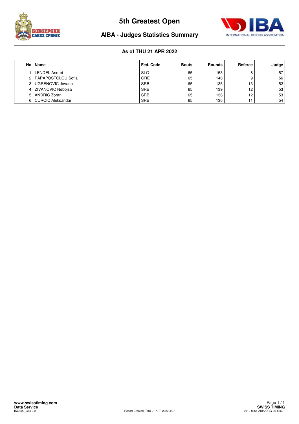



## **AIBA - Judges Statistics Summary**

| No.            | Name                     | Fed. Code  | <b>Bouts</b> | Rounds | Referee | Judge |
|----------------|--------------------------|------------|--------------|--------|---------|-------|
|                | <b>LENDEL Andrei</b>     | <b>SLO</b> | 65           | 153    |         | 57    |
| 2 <sup>1</sup> | PAPAPOSTOLOU Sofia       | GRE        | 65           | 146    |         | 56    |
| 3 <sub>1</sub> | UGRENOVIC Jovana         | <b>SRB</b> | 65           | 135    | 13      | 52    |
| 4 <sup>1</sup> | <b>ZIVANOVIC Neboisa</b> | <b>SRB</b> | 65           | 139    | 12      | 53    |
| 5.             | <b>ANDRIC Zoran</b>      | <b>SRB</b> | 65           | 136    | 12      | 53    |
| 6              | <b>CURCIC Aleksandar</b> | <b>SRB</b> | 65           | 136    |         | 54    |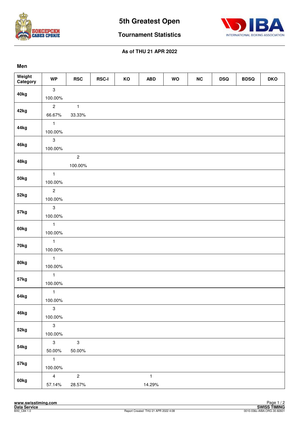



**Tournament Statistics**

| ۰. |
|----|
|----|

| Weight<br>Category | <b>WP</b>      | <b>RSC</b>     | <b>RSC-I</b> | KO | <b>ABD</b>   | WO | NC | <b>DSQ</b> | <b>BDSQ</b> | <b>DKO</b> |
|--------------------|----------------|----------------|--------------|----|--------------|----|----|------------|-------------|------------|
|                    | $\sqrt{3}$     |                |              |    |              |    |    |            |             |            |
| 40kg               | 100.00%        |                |              |    |              |    |    |            |             |            |
| 42kg               | $\overline{c}$ | $\mathbf{1}$   |              |    |              |    |    |            |             |            |
|                    | 66.67%         | 33.33%         |              |    |              |    |    |            |             |            |
| 44kg               | $\mathbf{1}$   |                |              |    |              |    |    |            |             |            |
|                    | 100.00%        |                |              |    |              |    |    |            |             |            |
| 46kg               | $\mathbf{3}$   |                |              |    |              |    |    |            |             |            |
|                    | 100.00%        |                |              |    |              |    |    |            |             |            |
| 48kg               |                | $\overline{c}$ |              |    |              |    |    |            |             |            |
|                    |                | 100.00%        |              |    |              |    |    |            |             |            |
| 50kg               | $\mathbf{1}$   |                |              |    |              |    |    |            |             |            |
|                    | 100.00%        |                |              |    |              |    |    |            |             |            |
| 52kg               | $\overline{c}$ |                |              |    |              |    |    |            |             |            |
|                    | 100.00%        |                |              |    |              |    |    |            |             |            |
| 57kg               | $\sqrt{3}$     |                |              |    |              |    |    |            |             |            |
|                    | 100.00%        |                |              |    |              |    |    |            |             |            |
| 60kg               | $\mathbf{1}$   |                |              |    |              |    |    |            |             |            |
|                    | 100.00%        |                |              |    |              |    |    |            |             |            |
| 70kg               | $\mathbf{1}$   |                |              |    |              |    |    |            |             |            |
|                    | 100.00%        |                |              |    |              |    |    |            |             |            |
| 80kg               | $\mathbf{1}$   |                |              |    |              |    |    |            |             |            |
|                    | 100.00%        |                |              |    |              |    |    |            |             |            |
| 57kg               | $\mathbf{1}$   |                |              |    |              |    |    |            |             |            |
|                    | 100.00%        |                |              |    |              |    |    |            |             |            |
| 64kg               | $\mathbf{1}$   |                |              |    |              |    |    |            |             |            |
|                    | 100.00%        |                |              |    |              |    |    |            |             |            |
| 46kg               | $\mathbf{3}$   |                |              |    |              |    |    |            |             |            |
|                    | 100.00%        |                |              |    |              |    |    |            |             |            |
| 52kg               | $\mathbf{3}$   |                |              |    |              |    |    |            |             |            |
|                    | 100.00%        |                |              |    |              |    |    |            |             |            |
| 54kg               | $\mathbf{3}$   | $\mathbf{3}$   |              |    |              |    |    |            |             |            |
|                    | 50.00%         | 50.00%         |              |    |              |    |    |            |             |            |
| 57kg               | $\mathbf{1}$   |                |              |    |              |    |    |            |             |            |
|                    | 100.00%        |                |              |    |              |    |    |            |             |            |
| 60kg               | $\overline{4}$ | $\overline{2}$ |              |    | $\mathbf{1}$ |    |    |            |             |            |
|                    | 57.14%         | 28.57%         |              |    | 14.29%       |    |    |            |             |            |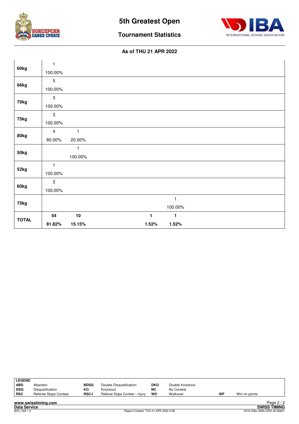



**Tournament Statistics**

|              | $\mathbf{1}$   |              |       |              |  |
|--------------|----------------|--------------|-------|--------------|--|
| 60kg         | 100.00%        |              |       |              |  |
|              | $\sqrt{5}$     |              |       |              |  |
| 66kg         | 100.00%        |              |       |              |  |
|              | $\sqrt{3}$     |              |       |              |  |
| 70kg         | 100.00%        |              |       |              |  |
|              | $\mathsf 3$    |              |       |              |  |
| 75kg         | 100.00%        |              |       |              |  |
|              | $\overline{4}$ | $\mathbf{1}$ |       |              |  |
| 80kg         | 80.00%         | 20.00%       |       |              |  |
|              |                | 1            |       |              |  |
| 50kg         |                | 100.00%      |       |              |  |
|              | $\mathbf{1}$   |              |       |              |  |
| 52kg         | 100.00%        |              |       |              |  |
|              | $\mathsf 3$    |              |       |              |  |
| 60kg         | 100.00%        |              |       |              |  |
|              |                |              |       | $\mathbf{1}$ |  |
| 75kg         |                |              |       | 100.00%      |  |
| <b>TOTAL</b> | 54             | $10$         | 1     | 1            |  |
|              | 81.82%         | 15.15%       | 1.52% | 1.52%        |  |

| <b>LEGEND</b> |                       |              |                                |            |                 |    |               |
|---------------|-----------------------|--------------|--------------------------------|------------|-----------------|----|---------------|
| <b>ABD</b>    | Abandon               | <b>BDSQ</b>  | Double Disqualification        | <b>DKO</b> | Double Knockout |    |               |
| ∣ DSQ         | Disqualification      | КO           | Knockout                       | <b>NC</b>  | No Contest      |    |               |
| <b>RSC</b>    | Referee Stops Contest | <b>RSC-I</b> | Referee Stops Contest - Injury | wo         | Walkover        | WP | Win on points |
|               |                       |              |                                |            |                 |    |               |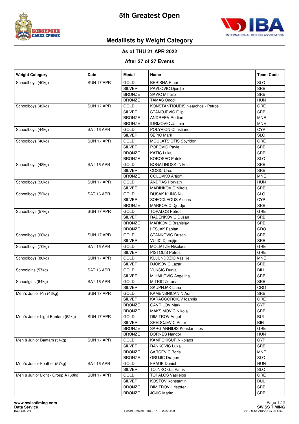



## **Medallists by Weight Category**

#### **As of THU 21 APR 2022**

#### **After 27 of 27 Events**

| <b>Weight Category</b>              | <b>Date</b> | <b>Medal</b>  | Name                                    | <b>Team Code</b> |
|-------------------------------------|-------------|---------------|-----------------------------------------|------------------|
| Schoolboys (40kg)                   | SUN 17 APR  | <b>GOLD</b>   | <b>BERISHA Rinor</b>                    | <b>SLO</b>       |
|                                     |             | <b>SILVER</b> | PAVLOVIC Djordje                        | <b>SRB</b>       |
|                                     |             | <b>BRONZE</b> | <b>SAVIC Mihailo</b>                    | <b>SRB</b>       |
|                                     |             | <b>BRONZE</b> | <b>TAMAS Onodi</b>                      | <b>HUN</b>       |
| Schoolboys (42kg)                   | SUN 17 APR  | GOLD          | <b>KONSTANTIOUDIS Nearchos - Petros</b> | GRE              |
|                                     |             | <b>SILVER</b> | <b>STANOJEVIC Filip</b>                 | <b>SRB</b>       |
|                                     |             | <b>BRONZE</b> | <b>ANDREEV Rodion</b>                   | <b>MNE</b>       |
|                                     |             | <b>BRONZE</b> | <b>IDRIZOVIC Jasmin</b>                 | <b>MNE</b>       |
| Schoolboys (44kg)                   | SAT 16 APR  | <b>GOLD</b>   | POLYVION Christiano                     | <b>CYP</b>       |
|                                     |             | <b>SILVER</b> | <b>SEPIC Mark</b>                       | <b>SLO</b>       |
| Schoolboys (46kg)                   | SUN 17 APR  | <b>GOLD</b>   | MOULATSIOTIS Spyridon                   | GRE              |
|                                     |             | <b>SILVER</b> | POPOVIC Pavle                           | <b>SRB</b>       |
|                                     |             | <b>BRONZE</b> | <b>KATIC Luka</b>                       | <b>SRB</b>       |
|                                     |             | <b>BRONZE</b> | <b>KOROSEC Patrik</b>                   | <b>SLO</b>       |
| Schoolboys (48kg)                   | SAT 16 APR  | GOLD          | <b>BOGATINOSKI Nikola</b>               | <b>SRB</b>       |
|                                     |             | <b>SILVER</b> | <b>COSIC Uros</b>                       | <b>SRB</b>       |
|                                     |             | <b>BRONZE</b> | GOLOVKO Artjom                          | <b>MNE</b>       |
| Schoolboys (50kg)                   | SUN 17 APR  | <b>GOLD</b>   | <b>ANDRAS Horvath</b>                   | <b>HUN</b>       |
|                                     |             | <b>SILVER</b> | <b>MARINKOVIC Nikola</b>                | <b>SRB</b>       |
| Schoolboys (52kg)                   | SAT 16 APR  | GOLD          | <b>DUSAK KLINC Nik</b>                  | <b>SLO</b>       |
|                                     |             | <b>SILVER</b> | <b>SOFOCLEOUS Alecos</b>                | <b>CYP</b>       |
|                                     |             | <b>BRONZE</b> | <b>MARKOVIC Djordje</b>                 | <b>SRB</b>       |
| Schoolboys (57kg)                   | SUN 17 APR  | <b>GOLD</b>   | <b>TOPALOS Petros</b>                   | GRE              |
|                                     |             | <b>SILVER</b> | RADENKOVIC Dusan                        | <b>SRB</b>       |
|                                     |             | <b>BRONZE</b> | <b>MARKOVIC Branislav</b>               | <b>SRB</b>       |
|                                     |             | <b>BRONZE</b> | <b>LESJAK Fabian</b>                    | CRO              |
| Schoolboys (60kg)                   | SUN 17 APR  | <b>GOLD</b>   | <b>STANKOVIC Dusan</b>                  | <b>SRB</b>       |
|                                     |             | <b>SILVER</b> | <b>VUJIC Djordjije</b>                  | <b>SRB</b>       |
| Schoolboys (70kg)                   | SAT 16 APR  | <b>GOLD</b>   | <b>MOLIATZE Nikolaos</b>                | GRE              |
|                                     |             | <b>SILVER</b> | <b>PISTOLIS Petros</b>                  | GRE              |
| Schoolboys (80kg)                   | SUN 17 APR  | GOLD          | <b>KUJUNDDZIC Vasilije</b>              | <b>MNE</b>       |
|                                     |             | <b>SILVER</b> | <b>DJOKOVIC Lazar</b>                   | <b>SRB</b>       |
| Schoolgirls (57kg)                  | SAT 16 APR  | <b>GOLD</b>   | <b>VUKSIC Dunja</b>                     | <b>BIH</b>       |
|                                     |             | <b>SILVER</b> | MIHAILOVIC Angelina                     | <b>SRB</b>       |
| Schoolgirls (64kg)                  | SAT 16 APR  | <b>GOLD</b>   | <b>MITRIC Zorana</b>                    | <b>SRB</b>       |
|                                     |             | <b>SILVER</b> | <b>SKUPNJAK Lana</b>                    | CRO              |
|                                     | SUN 17 APR  | GOLD          |                                         | <b>SRB</b>       |
| Men's Junior Pin (46kg)             |             |               | KAMENSNICANIN Admir                     |                  |
|                                     |             | <b>SILVER</b> | KARAGGORGIOV Ioannis                    | GRE              |
|                                     |             | <b>BRONZE</b> | <b>GAVRILOV Mark</b>                    | <b>CYP</b>       |
|                                     |             | <b>BRONZE</b> | MAKSIMOVIC Nikola                       | <b>SRB</b>       |
| Men's Junior Light Bantam (52kg)    | SUN 17 APR  | GOLD          | <b>DIMITROV Angel</b>                   | <b>BUL</b>       |
|                                     |             | <b>SILVER</b> | <b>SREDOJEVIC Petar</b>                 | <b>BIH</b>       |
|                                     |             | <b>BRONZE</b> | <b>SARGIANNIDIS Konstantinos</b>        | GRE              |
|                                     |             | <b>BRONZE</b> | <b>BORNES Nandor</b>                    | <b>HUN</b>       |
| Men's Junior Bantam (54kg)          | SUN 17 APR  | GOLD          | <b>KAMPOKISUR Nikolaos</b>              | <b>CYP</b>       |
|                                     |             | <b>SILVER</b> | RANKOVIC Luka                           | <b>SRB</b>       |
|                                     |             | <b>BRONZE</b> | <b>SARCEVIC Boris</b>                   | <b>MNE</b>       |
|                                     |             | <b>BRONZE</b> | <b>GRUJIC Dragan</b>                    | <b>SLO</b>       |
| Men's Junior Feather (57kg)         | SAT 16 APR  | GOLD          | <b>FRAUK Daniel</b>                     | <b>HUN</b>       |
|                                     |             | <b>SILVER</b> | <b>TOJNKO Gal Patrik</b>                | <b>SLO</b>       |
| Men's Junior Light - Group A (60kg) | SUN 17 APR  | GOLD          | <b>TOPALOS Vasileios</b>                | GRE              |
|                                     |             | <b>SILVER</b> | KOSTOV Konstantin                       | <b>BUL</b>       |
|                                     |             | <b>BRONZE</b> | <b>DIMITROV Hristofer</b>               | SRB              |
|                                     |             | <b>BRONZE</b> | <b>JOJIC Marko</b>                      | SRB              |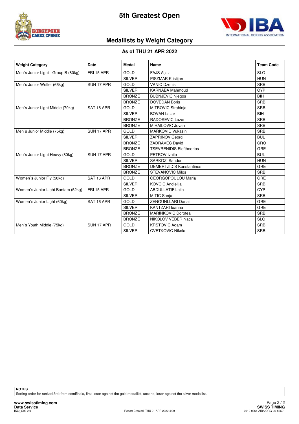



## **Medallists by Weight Category**

#### **As of THU 21 APR 2022**

| <b>Weight Category</b>              | Date                                                                                          | <b>Medal</b>  | Name                            | <b>Team Code</b> |
|-------------------------------------|-----------------------------------------------------------------------------------------------|---------------|---------------------------------|------------------|
| Men's Junior Light - Group B (60kg) | FRI 15 APR                                                                                    | <b>GOLD</b>   | <b>FAJS Aljaz</b>               | <b>SLO</b>       |
|                                     |                                                                                               | <b>SILVER</b> | PISZMAR Kristijan               | <b>HUN</b>       |
| Men's Junior Welter (66kg)          | SUN 17 APR                                                                                    | <b>GOLD</b>   | <b>VANIC Dzenis</b>             | <b>SRB</b>       |
|                                     |                                                                                               | <b>SILVER</b> | <b>KARNABA Mahmoud</b>          | <b>CYP</b>       |
|                                     |                                                                                               | <b>BRONZE</b> | <b>BUBNJEVIC Niegos</b>         | <b>BIH</b>       |
|                                     |                                                                                               | <b>BRONZE</b> | <b>DOVEDAN Boris</b>            | <b>SRB</b>       |
| Men's Junior Light Middle (70kg)    | SAT 16 APR                                                                                    | <b>GOLD</b>   | MITROVIC Strahinja              | <b>SRB</b>       |
|                                     |                                                                                               | <b>SILVER</b> | <b>BOVAN Lazar</b>              | <b>BIH</b>       |
|                                     |                                                                                               | <b>BRONZE</b> | RADOSEVIC Lazar                 | <b>SRB</b>       |
|                                     |                                                                                               | <b>BRONZE</b> | MIHAILOVIC Jovan                | <b>SRB</b>       |
| Men's Junior Middle (75kg)          | SUN 17 APR                                                                                    | <b>GOLD</b>   | <b>MARKOVIC Vukasin</b>         | <b>SRB</b>       |
|                                     |                                                                                               | <b>SILVER</b> | <b>ZAPRINOV Georgi</b>          | <b>BUL</b>       |
|                                     |                                                                                               | <b>BRONZE</b> | <b>ZADRAVEC David</b>           | CRO              |
|                                     |                                                                                               | <b>BRONZE</b> | <b>TSEVRENIDIS Eleftheerios</b> | <b>GRE</b>       |
| Men's Junior Light Heavy (80kg)     | SUN 17 APR                                                                                    | <b>GOLD</b>   | PETROV Ivailo                   | <b>BUL</b>       |
|                                     |                                                                                               | <b>SILVER</b> | SARKOZI Sandor                  | <b>HUN</b>       |
|                                     |                                                                                               | <b>BRONZE</b> | <b>DEMERTZIDIS Konstantinos</b> | GRE              |
|                                     |                                                                                               | <b>BRONZE</b> | <b>STEVANOVIC Milos</b>         | <b>SRB</b>       |
| Women's Junior Fly (50kg)           | SAT 16 APR                                                                                    | <b>GOLD</b>   | <b>GEORGOPOULOU Maria</b>       | GRE              |
|                                     |                                                                                               | <b>SILVER</b> | <b>KOVCIC Andielija</b>         | <b>SRB</b>       |
| Women's Junior Light Bantam (52kg)  | <b>FRI 15 APR</b>                                                                             | <b>GOLD</b>   | <b>ABDULLATIF Laila</b>         | <b>CYP</b>       |
|                                     |                                                                                               | <b>SILVER</b> | <b>MITIC Sanja</b>              | <b>SRB</b>       |
| Women's Junior Light (60kg)         | SAT 16 APR                                                                                    | GOLD          | ZENOUNLLARI Danai               | <b>GRE</b>       |
|                                     |                                                                                               | <b>SILVER</b> | KANTZARI Ioanna                 | <b>GRE</b>       |
|                                     |                                                                                               | <b>BRONZE</b> | <b>MARINKOVIC Dorotea</b>       | <b>SRB</b>       |
|                                     |                                                                                               | <b>BRONZE</b> | NIKOLOV VEBER Naca              | <b>SLO</b>       |
| Men's Youth Middle (75kg)           | SUN 17 APR<br><b>GOLD</b><br><b>KRSTOVIC Adam</b><br><b>SILVER</b><br><b>CVETKOVIC Nikola</b> |               |                                 |                  |
|                                     |                                                                                               |               |                                 | <b>SRB</b>       |

**NOTES**

Sorting order for ranked 3rd: from semifinals, first, loser against the gold medallist, second, loser against the silver medallist.

**www.swisstiming.com**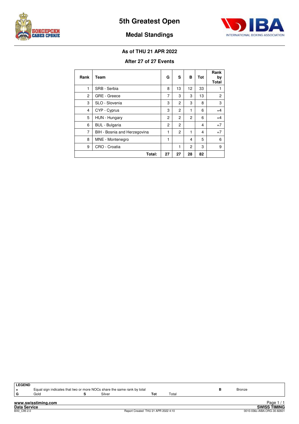



## **Medal Standings**

#### **As of THU 21 APR 2022**

#### **After 27 of 27 Events**

| Rank | Team                         | G              | S  | в  | Tot | Rank<br>by<br><b>Total</b> |
|------|------------------------------|----------------|----|----|-----|----------------------------|
| 1    | SRB - Serbia                 | 8              | 13 | 12 | 33  | 1                          |
| 2    | GRE - Greece                 | 7              | 3  | 3  | 13  | $\overline{c}$             |
| 3    | SLO - Slovenia               | 3              | 2  | 3  | 8   | 3                          |
| 4    | CYP - Cyprus                 | 3              | 2  | 1  | 6   | $=4$                       |
| 5    | HUN - Hungary                | $\overline{2}$ | 2  | 2  | 6   | $=4$                       |
| 6    | <b>BUL</b> - Bulgaria        | $\overline{2}$ | 2  |    | 4   | $=7$                       |
| 7    | BIH - Bosnia and Herzegovina | 1              | 2  | 1  | 4   | $=7$                       |
| 8    | MNE - Montenegro             | 1              |    | 4  | 5   | 6                          |
| 9    | CRO - Croatia                |                | 1  | 2  | 3   | 9                          |
|      | Total:                       | 27             | 27 | 28 | 82  |                            |

| l LEGEND            |                                                                         |        |                                     |       |  |  |                             |
|---------------------|-------------------------------------------------------------------------|--------|-------------------------------------|-------|--|--|-----------------------------|
| l =                 | Equal sign indicates that two or more NOCs share the same rank by total | Bronze |                                     |       |  |  |                             |
| l G                 | Gold                                                                    | Silver | Tot                                 | Total |  |  |                             |
|                     |                                                                         |        |                                     |       |  |  |                             |
|                     | www.swisstiming.com                                                     |        |                                     |       |  |  | Page $1/1$                  |
| <b>Data Service</b> |                                                                         |        |                                     |       |  |  | <b>SWISS TIMING</b>         |
| BX0 C95 2.0         |                                                                         |        | Report Created THU 21 APR 2022 4:10 |       |  |  | 0010-036c-AIBA.ORG-30-82601 |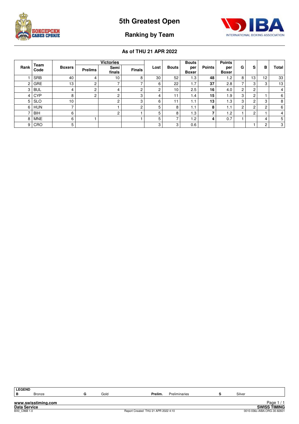



## **Ranking by Team**

| Rank | Team       | <b>Boxers</b>   | <b>Victories</b> |                |               |        |              | <b>Bouts</b>        |               | <b>Points</b>       |             |                |        |       |
|------|------------|-----------------|------------------|----------------|---------------|--------|--------------|---------------------|---------------|---------------------|-------------|----------------|--------|-------|
|      | Code       |                 | <b>Prelims</b>   | Semi<br>finals | <b>Finals</b> | Lost   | <b>Bouts</b> | per<br><b>Boxer</b> | <b>Points</b> | per<br><b>Boxer</b> | G           | s              | в      | Total |
|      | <b>SRB</b> | 40              | 4                | 10             | ິ             | 30     | 52           | 1.3                 | 48            | 1.2                 | 8           | 13             | 12     | 33    |
| 2    | <b>GRE</b> | 13              | 2                | ⇁              |               | 6      | 22           | 1.7                 | 37            | 2.8                 |             | 3              | 3      | 13    |
| 3    | <b>BUL</b> | 4               | 2                | 4              | ົ             | C<br>۷ | 10           | 2.5                 | 16            | 4.0                 | $\sim$<br>∠ | $\sim$<br>۷    |        | 4     |
| 4    | <b>CYP</b> | 8               | $\overline{2}$   | $\overline{c}$ | 3             | 4      | - 1          | 1.4                 | 15            | 1.9                 | 3           | $\overline{c}$ |        | 6     |
| 5    | <b>SLO</b> | 10 <sub>1</sub> |                  | $\overline{c}$ | 3             | 6      | 11           | ۱.1                 | 13            | 1.3                 | c<br>٠J.    | 2              | 3      | 8     |
| 6    | <b>HUN</b> | -               |                  |                | ົ             | 5      | 8            | ۱.1                 | 8             | 1.1                 | C           | $\sim$<br>۷    | C<br>∠ | 6     |
|      | <b>BIH</b> | 6               |                  | $\overline{c}$ |               | 5      | 8            | 1.3                 |               | 1.2                 |             | $\overline{c}$ |        | 4     |
| 8    | <b>MNE</b> | 6               |                  |                |               | 5      |              | 1.2                 |               | 0.7                 |             |                | 4      | 5     |
| 9    | CRO        | 5               |                  |                |               | 3      | 3            | 0.6                 |               |                     |             |                | c<br>۷ | 3     |

| <b>LEGEND</b>       |        |  |      |                                     |         |               |            |        |                             |
|---------------------|--------|--|------|-------------------------------------|---------|---------------|------------|--------|-----------------------------|
|                     |        |  |      |                                     |         |               |            |        |                             |
| в                   | Bronze |  | Gold |                                     | Prelim. | Preliminaries |            | Silver |                             |
|                     |        |  |      |                                     |         |               |            |        |                             |
| www.swisstiming.com |        |  |      |                                     |         |               | Page $1/1$ |        |                             |
| Data Service        |        |  |      |                                     |         |               |            |        | <b>SWISS TIMING</b>         |
| BX0 C96B 1.0        |        |  |      | Report Created THU 21 APR 2022 4:10 |         |               |            |        | 0010-036c-AIBA.ORG-30-82601 |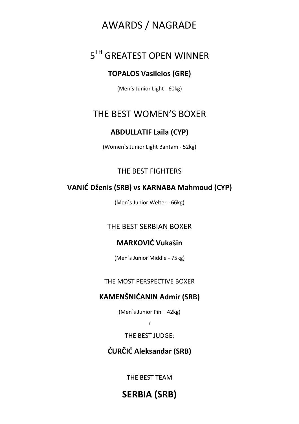## AWARDS / NAGRADE

## 5TH GREATEST OPEN WINNER

## **TOPALOS Vasileios (GRE)**

(Men's Junior Light - 60kg)

## THE BEST WOMEN'S BOXER

## **ABDULLATIF Laila (CYP)**

(Women`s Junior Light Bantam - 52kg)

## THE BEST FIGHTERS

## **VANIĆ Dženis (SRB) vs KARNABA Mahmoud (CYP)**

(Men`s Junior Welter - 66kg)

## THE BEST SERBIAN BOXER

## **MARKOVIĆ Vukašin**

(Men`s Junior Middle - 75kg)

THE MOST PERSPECTIVE BOXER

## **KAMENŠNIĆANIN Admir (SRB)**

(Men`s Junior Pin – 42kg)

6

## THE BEST JUDGE:

## **ĆURČIĆ Aleksandar (SRB)**

THE BEST TEAM

**SERBIA (SRB)**